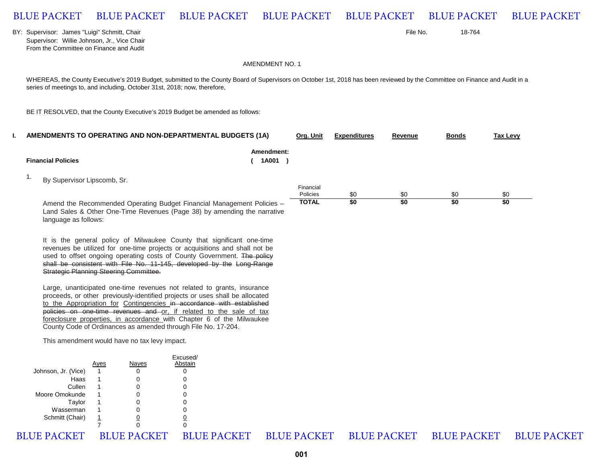# BLUE PACKET BLUE PACKET BLUE PACKET BLUE PACKET BLUE PACKET BLUE PACKET BLUE PACKET

BY: Supervisor: James "Luigi" Schmitt, Chair File No. 18-764 Supervisor: Willie Johnson, Jr., Vice ChairFrom the Committee on Finance and Audit

### AMENDMENT NO. 1

**Amendment:**

WHEREAS, the County Executive's 2019 Budget, submitted to the County Board of Supervisors on October 1st, 2018 has been reviewed by the Committee on Finance and Audit in a series of meetings to, and including, October 31st, 2018; now, therefore,

BE IT RESOLVED, that the County Executive's 2019 Budget be amended as follows:

| AMENDMENTS TO OPERATING AND NON-DEPARTMENTAL BUDGETS (1A) |  | Ora. Unit | <b>Expenditures</b> | Revenue | Bonds | Tax Levv |
|-----------------------------------------------------------|--|-----------|---------------------|---------|-------|----------|
|-----------------------------------------------------------|--|-----------|---------------------|---------|-------|----------|

**Financial Policies**

1. By Supervisor Lipscomb, Sr.

> Amend the Recommended Operating Budget Financial Management Policies – Land Sales & Other One-Time Revenues (Page 38) by amending the narrative language as follows:

It is the general policy of Milwaukee County that significant one-time revenues be utilized for one-time projects or acquisitions and shall not be used to offset ongoing operating costs of County Government. The policy shall be consistent with File No. 11-145, developed by the Long-Range Strategic Planning Steering Committee.

Large, unanticipated one-time revenues not related to grants, insurance proceeds, or other previously-identified projects or uses shall be allocated to the Appropriation for Contingencies in accordance with established policies on one-time revenues and or, if related to the sale of tax foreclosure properties, in accordance with Chapter 6 of the Milwaukee County Code of Ordinances as amended through File No. 17-204.

This amendment would have no tax levy impact.

|                     | Aves | Nayes | Excused/<br>Abstain |
|---------------------|------|-------|---------------------|
| Johnson, Jr. (Vice) |      |       |                     |
| Haas                |      |       |                     |
| Cullen              |      |       |                     |
| Moore Omokunde      |      |       |                     |
| Taylor              |      |       |                     |
| Wasserman           |      |       |                     |
| Schmitt (Chair)     |      |       |                     |
|                     |      |       |                     |

|  | BLUE PACKET |  |  |  |
|--|-------------|--|--|--|
|  |             |  |  |  |
|  |             |  |  |  |
|  |             |  |  |  |

BLUE PACKET BLUE PACKET BLUE PACKET BLUE PACKET BLUE PACKET BLUE PACKET BLUE PACKET

Financial Policiess \$0 \$0 \$0 \$0 \$0 **TOTAL \$0 \$0 \$0 \$0**

**( 1A001 )**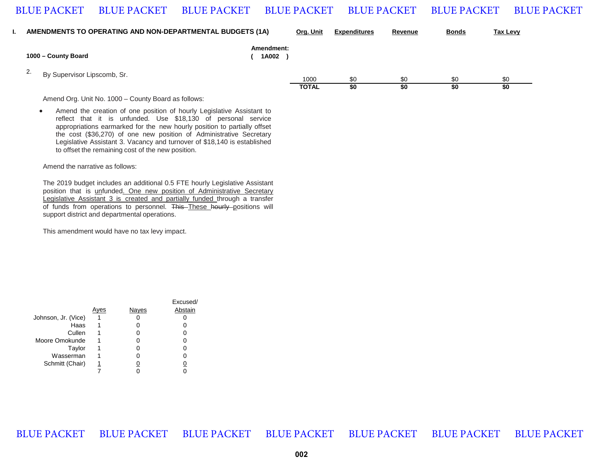|    | <b>BLUE PACKET</b>                                                         | <b>BLUE PACKET</b>                                                                                                                     | <b>BLUE PACKET</b>                                                                                                                                                                                                                                                                                                                                                    | <b>BLUE PACKET</b>    | <b>BLUE PACKET</b>  |                        | <b>BLUE PACKET</b>     | <b>BLUE PACKET</b>     |
|----|----------------------------------------------------------------------------|----------------------------------------------------------------------------------------------------------------------------------------|-----------------------------------------------------------------------------------------------------------------------------------------------------------------------------------------------------------------------------------------------------------------------------------------------------------------------------------------------------------------------|-----------------------|---------------------|------------------------|------------------------|------------------------|
|    |                                                                            |                                                                                                                                        | AMENDMENTS TO OPERATING AND NON-DEPARTMENTAL BUDGETS (1A)                                                                                                                                                                                                                                                                                                             | Org. Unit             | <b>Expenditures</b> | Revenue                | <b>Bonds</b>           | <b>Tax Levy</b>        |
|    | 1000 - County Board                                                        |                                                                                                                                        |                                                                                                                                                                                                                                                                                                                                                                       | Amendment:<br>1A002 ) |                     |                        |                        |                        |
| 2. | By Supervisor Lipscomb, Sr.                                                |                                                                                                                                        |                                                                                                                                                                                                                                                                                                                                                                       | 1000<br><b>TOTAL</b>  | \$0<br>\$0          | \$0<br>$\overline{50}$ | \$0<br>$\overline{50}$ | \$0<br>$\overline{50}$ |
|    |                                                                            | Amend Org. Unit No. 1000 - County Board as follows:                                                                                    |                                                                                                                                                                                                                                                                                                                                                                       |                       |                     |                        |                        |                        |
|    | $\bullet$                                                                  | to offset the remaining cost of the new position.                                                                                      | Amend the creation of one position of hourly Legislative Assistant to<br>reflect that it is unfunded. Use \$18,130 of personal service<br>appropriations earmarked for the new hourly position to partially offset<br>the cost (\$36,270) of one new position of Administrative Secretary<br>Legislative Assistant 3. Vacancy and turnover of \$18,140 is established |                       |                     |                        |                        |                        |
|    |                                                                            | Amend the narrative as follows:                                                                                                        |                                                                                                                                                                                                                                                                                                                                                                       |                       |                     |                        |                        |                        |
|    |                                                                            | support district and departmental operations.                                                                                          | The 2019 budget includes an additional 0.5 FTE hourly Legislative Assistant<br>position that is unfunded. One new position of Administrative Secretary<br>Legislative Assistant 3 is created and partially funded through a transfer<br>of funds from operations to personnel. This-These hourly positions will                                                       |                       |                     |                        |                        |                        |
|    |                                                                            | This amendment would have no tax levy impact.                                                                                          |                                                                                                                                                                                                                                                                                                                                                                       |                       |                     |                        |                        |                        |
|    | Johnson, Jr. (Vice)                                                        | <b>Nayes</b><br><u>Ayes</u><br>0<br>$\mathbf{1}$                                                                                       | Excused/<br><b>Abstain</b><br>0                                                                                                                                                                                                                                                                                                                                       |                       |                     |                        |                        |                        |
|    | Haas<br>Cullen<br>Moore Omokunde<br>Taylor<br>Wasserman<br>Schmitt (Chair) | 0<br>1<br>$\mathbf{1}$<br>0<br>$\mathbf 0$<br>$\mathbf{1}$<br>$\mathbf{1}$<br>0<br>$\boldsymbol{0}$<br>$\frac{0}{0}$<br>$\overline{7}$ | 0<br>$\Omega$<br>$\Omega$<br>0<br>0<br>$\underline{0}$<br>$\Omega$                                                                                                                                                                                                                                                                                                    |                       |                     |                        |                        |                        |
|    | <b>BLUE PACKET</b>                                                         | <b>BLUE PACKET</b>                                                                                                                     | <b>BLUE PACKET</b>                                                                                                                                                                                                                                                                                                                                                    | <b>BLUE PACKET</b>    |                     | <b>BLUE PACKET</b>     | <b>BLUE PACKET</b>     | <b>BLUE PACKET</b>     |
|    |                                                                            |                                                                                                                                        |                                                                                                                                                                                                                                                                                                                                                                       |                       |                     |                        |                        |                        |
|    |                                                                            |                                                                                                                                        |                                                                                                                                                                                                                                                                                                                                                                       | 002                   |                     |                        |                        |                        |

**I.**

|                     |      |       | Excused/ |
|---------------------|------|-------|----------|
|                     | Aves | Nayes | Abstain  |
| Johnson, Jr. (Vice) |      |       |          |
| Haas                |      |       |          |
| Cullen              |      |       |          |
| Moore Omokunde      |      |       |          |
| Taylor              |      |       |          |
| Wasserman           |      |       |          |
| Schmitt (Chair)     |      |       |          |
|                     |      |       |          |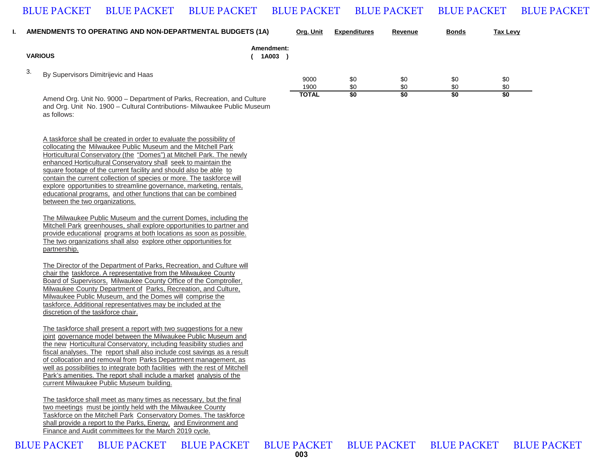| <b>BLUE PACKET</b>                 | <b>BLUE PACKET</b>                                                                                                                                                                                                                                                                                                                                                                                                                                                                                                                                                     | <b>BLUE PACKET</b>                                                                                                                                  | <b>BLUE PACKET</b>        |                     | <b>BLUE PACKET</b> | <b>BLUE PACKET</b> |                 | <b>BLUE PACKET</b> |
|------------------------------------|------------------------------------------------------------------------------------------------------------------------------------------------------------------------------------------------------------------------------------------------------------------------------------------------------------------------------------------------------------------------------------------------------------------------------------------------------------------------------------------------------------------------------------------------------------------------|-----------------------------------------------------------------------------------------------------------------------------------------------------|---------------------------|---------------------|--------------------|--------------------|-----------------|--------------------|
|                                    |                                                                                                                                                                                                                                                                                                                                                                                                                                                                                                                                                                        | AMENDMENTS TO OPERATING AND NON-DEPARTMENTAL BUDGETS (1A)                                                                                           | Org. Unit                 | <b>Expenditures</b> | Revenue            | <b>Bonds</b>       | <b>Tax Levy</b> |                    |
| <b>VARIOUS</b>                     |                                                                                                                                                                                                                                                                                                                                                                                                                                                                                                                                                                        |                                                                                                                                                     | Amendment:<br>(1A003)     |                     |                    |                    |                 |                    |
| 3.                                 | By Supervisors Dimitrijevic and Haas                                                                                                                                                                                                                                                                                                                                                                                                                                                                                                                                   |                                                                                                                                                     | 9000<br>1900              | \$0<br>\$0          | \$0<br>\$0         | \$0<br>\$0         | \$0<br>\$0      |                    |
| as follows:                        |                                                                                                                                                                                                                                                                                                                                                                                                                                                                                                                                                                        | Amend Org. Unit No. 9000 - Department of Parks, Recreation, and Culture<br>and Org. Unit No. 1900 - Cultural Contributions- Milwaukee Public Museum | <b>TOTAL</b>              | $\overline{50}$     | $\overline{50}$    | $\overline{50}$    | $\overline{50}$ |                    |
| between the two organizations.     | A taskforce shall be created in order to evaluate the possibility of<br>collocating the Milwaukee Public Museum and the Mitchell Park<br>Horticultural Conservatory (the "Domes") at Mitchell Park. The newly<br>enhanced Horticultural Conservatory shall seek to maintain the<br>square footage of the current facility and should also be able to<br>contain the current collection of species or more. The taskforce will<br>explore opportunities to streamline governance, marketing, rentals,<br>educational programs, and other functions that can be combined |                                                                                                                                                     |                           |                     |                    |                    |                 |                    |
| partnership.                       | The Milwaukee Public Museum and the current Domes, including the<br>Mitchell Park greenhouses, shall explore opportunities to partner and<br>provide educational programs at both locations as soon as possible.<br>The two organizations shall also explore other opportunities for                                                                                                                                                                                                                                                                                   |                                                                                                                                                     |                           |                     |                    |                    |                 |                    |
| discretion of the taskforce chair. | The Director of the Department of Parks, Recreation, and Culture will<br>chair the taskforce. A representative from the Milwaukee County<br>Board of Supervisors, Milwaukee County Office of the Comptroller,<br>Milwaukee County Department of Parks, Recreation, and Culture,<br>Milwaukee Public Museum, and the Domes will comprise the<br>taskforce. Additional representatives may be included at the                                                                                                                                                            |                                                                                                                                                     |                           |                     |                    |                    |                 |                    |
|                                    | The taskforce shall present a report with two suggestions for a new<br>joint governance model between the Milwaukee Public Museum and<br>the new Horticultural Conservatory, including feasibility studies and<br>fiscal analyses. The report shall also include cost savings as a result<br>of collocation and removal from Parks Department management, as<br>well as possibilities to integrate both facilities with the rest of Mitchell<br>Park's amenities. The report shall include a market analysis of the<br>current Milwaukee Public Museum building.       |                                                                                                                                                     |                           |                     |                    |                    |                 |                    |
|                                    | The taskforce shall meet as many times as necessary, but the final<br>two meetings must be jointly held with the Milwaukee County<br>Taskforce on the Mitchell Park Conservatory Domes. The taskforce<br>shall provide a report to the Parks, Energy, and Environment and<br>Finance and Audit committees for the March 2019 cycle.                                                                                                                                                                                                                                    |                                                                                                                                                     |                           |                     |                    |                    |                 |                    |
| <b>BLUE PACKET</b>                 | <b>BLUE PACKET</b>                                                                                                                                                                                                                                                                                                                                                                                                                                                                                                                                                     | <b>BLUE PACKET</b>                                                                                                                                  | <b>BLUE PACKET</b><br>003 | <b>BLUE PACKET</b>  |                    | <b>BLUE PACKET</b> |                 | <b>BLUE PACKET</b> |

**I.**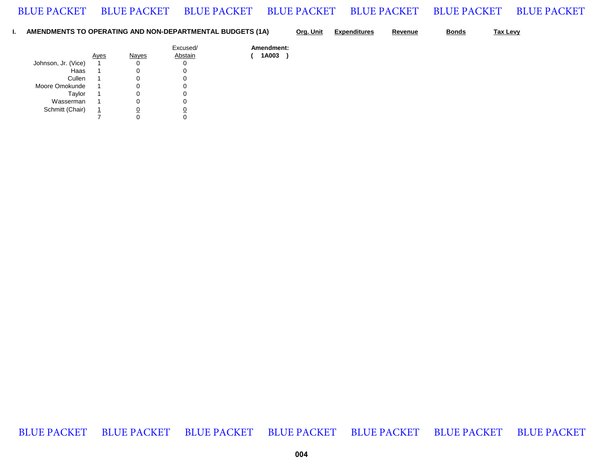### **I. AMENDMENTS TO OPERATING AND NON-DEPARTMENTAL BUDGETS (1A) Org. Unit Expenditures Revenue Bonds Tax Levy**

|                                                                                                   |                                                                                                                                                                                                                                                                            |                                                                                                            |                       |                                | BLUE PACKET      BLUE PACKET      BLUE PACKET      BLUE PACKET      BLUE PACKET      BLUE PACKET      BLUE PACKET |                 |
|---------------------------------------------------------------------------------------------------|----------------------------------------------------------------------------------------------------------------------------------------------------------------------------------------------------------------------------------------------------------------------------|------------------------------------------------------------------------------------------------------------|-----------------------|--------------------------------|-------------------------------------------------------------------------------------------------------------------|-----------------|
|                                                                                                   |                                                                                                                                                                                                                                                                            | AMENDMENTS TO OPERATING AND NON-DEPARTMENTAL BUDGETS (1A)                                                  | Org. Unit             | <b>Expenditures</b><br>Revenue | <b>Bonds</b>                                                                                                      | <b>Tax Levy</b> |
| Johnson, Jr. (Vice)<br>Haas<br>Cullen<br>Moore Omokunde<br>Taylor<br>Wasserman<br>Schmitt (Chair) | <b>Nayes</b><br><u>Ayes</u><br>$\overline{1}$<br>$\mathbf 0$<br>$\pmb{0}$<br>$\mathbf{1}$<br>$\pmb{0}$<br>$\mathbf{1}$<br>$\pmb{0}$<br>$\mathbf{1}$<br>$\pmb{0}$<br>$\mathbf{1}$<br>$\begin{matrix} 0 \\ \underline{0} \\ 0 \end{matrix}$<br>$\mathbf{1}$<br>$\frac{1}{7}$ | Excused/<br>Abstain<br>0<br>$\pmb{0}$<br>$\pmb{0}$<br>$\pmb{0}$<br>$\pmb{0}$<br>$\pmb{0}$<br>$\frac{0}{0}$ | Amendment:<br>(1A003) |                                |                                                                                                                   |                 |
|                                                                                                   |                                                                                                                                                                                                                                                                            |                                                                                                            |                       |                                |                                                                                                                   |                 |
|                                                                                                   |                                                                                                                                                                                                                                                                            |                                                                                                            |                       |                                | BLUE PACKET BLUE PACKET BLUE PACKET BLUE PACKET BLUE PACKET BLUE PACKET BLUE PACKET                               |                 |
|                                                                                                   |                                                                                                                                                                                                                                                                            |                                                                                                            | 004                   |                                |                                                                                                                   |                 |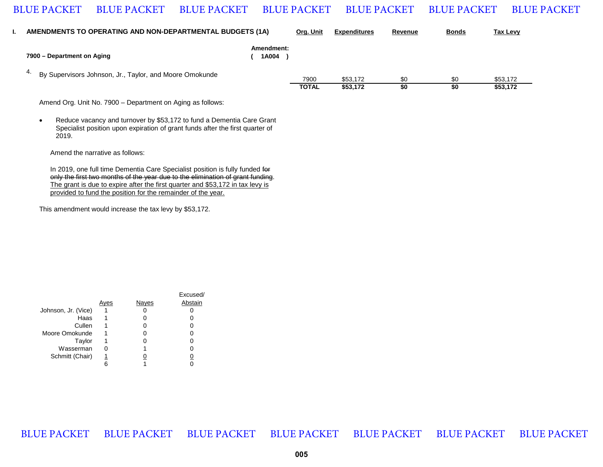| BLUE PACKET<br><b>BLUE PACKET</b>                                                                                                                                                                                                                                                                                | <b>BLUE PACKET</b>              | <b>BLUE PACKET</b>    | <b>BLUE PACKET</b>   |                        | <b>BLUE PACKET</b>     | <b>BLUE PACKET</b>   |  |
|------------------------------------------------------------------------------------------------------------------------------------------------------------------------------------------------------------------------------------------------------------------------------------------------------------------|---------------------------------|-----------------------|----------------------|------------------------|------------------------|----------------------|--|
| AMENDMENTS TO OPERATING AND NON-DEPARTMENTAL BUDGETS (1A)                                                                                                                                                                                                                                                        |                                 | Org. Unit             | <b>Expenditures</b>  | Revenue                | <b>Bonds</b>           | <b>Tax Levy</b>      |  |
| 7900 - Department on Aging                                                                                                                                                                                                                                                                                       |                                 | Amendment:<br>1A004 ) |                      |                        |                        |                      |  |
| 4.<br>By Supervisors Johnson, Jr., Taylor, and Moore Omokunde                                                                                                                                                                                                                                                    |                                 | 7900<br><b>TOTAL</b>  | \$53,172<br>\$53,172 | \$0<br>$\overline{50}$ | \$0<br>$\overline{50}$ | \$53,172<br>\$53,172 |  |
| Amend Org. Unit No. 7900 - Department on Aging as follows:                                                                                                                                                                                                                                                       |                                 |                       |                      |                        |                        |                      |  |
| Reduce vacancy and turnover by \$53,172 to fund a Dementia Care Grant<br>$\bullet$<br>Specialist position upon expiration of grant funds after the first quarter of<br>2019.                                                                                                                                     |                                 |                       |                      |                        |                        |                      |  |
| Amend the narrative as follows:                                                                                                                                                                                                                                                                                  |                                 |                       |                      |                        |                        |                      |  |
| In 2019, one full time Dementia Care Specialist position is fully funded for<br>only the first two months of the year due to the elimination of grant funding.<br>The grant is due to expire after the first quarter and \$53,172 in tax levy is<br>provided to fund the position for the remainder of the year. |                                 |                       |                      |                        |                        |                      |  |
| This amendment would increase the tax levy by \$53,172.                                                                                                                                                                                                                                                          |                                 |                       |                      |                        |                        |                      |  |
|                                                                                                                                                                                                                                                                                                                  |                                 |                       |                      |                        |                        |                      |  |
|                                                                                                                                                                                                                                                                                                                  |                                 |                       |                      |                        |                        |                      |  |
| <b>Nayes</b><br><u>Ayes</u><br>Johnson, Jr. (Vice)<br>0<br>$\mathbf{1}$                                                                                                                                                                                                                                          | Excused/<br><b>Abstain</b><br>0 |                       |                      |                        |                        |                      |  |
| Haas<br>$\mathbf{1}$<br>0<br>Cullen<br>$\mathbf{1}$<br>0                                                                                                                                                                                                                                                         | 0<br>0                          |                       |                      |                        |                        |                      |  |
| $\mathbf 0$<br>Moore Omokunde<br>$\mathbf 0$<br>Taylor<br>1                                                                                                                                                                                                                                                      | 0<br>0                          |                       |                      |                        |                        |                      |  |
| 0<br>$\overline{1}$<br>Wasserman<br>Schmitt (Chair)<br>$\overline{1}$<br>$\overline{0}$                                                                                                                                                                                                                          | 0<br>$\frac{0}{0}$              |                       |                      |                        |                        |                      |  |
|                                                                                                                                                                                                                                                                                                                  |                                 |                       |                      |                        |                        |                      |  |
|                                                                                                                                                                                                                                                                                                                  |                                 |                       |                      |                        |                        |                      |  |
| <b>BLUE PACKET</b><br><b>BLUE PACKET</b>                                                                                                                                                                                                                                                                         | <b>BLUE PACKET</b>              | <b>BLUE PACKET</b>    |                      | <b>BLUE PACKET</b>     | <b>BLUE PACKET</b>     | <b>BLUE PACKE</b>    |  |
|                                                                                                                                                                                                                                                                                                                  |                                 | 005                   |                      |                        |                        |                      |  |
|                                                                                                                                                                                                                                                                                                                  |                                 |                       |                      |                        |                        |                      |  |

**I.**

|                     |      |              | Excused/ |
|---------------------|------|--------------|----------|
|                     | Aves | <b>Naves</b> | Abstain  |
| Johnson, Jr. (Vice) |      |              |          |
| Haas                |      |              |          |
| Cullen              |      |              |          |
| Moore Omokunde      |      |              |          |
| Taylor              |      |              |          |
| Wasserman           |      |              |          |
| Schmitt (Chair)     |      |              |          |
|                     |      |              |          |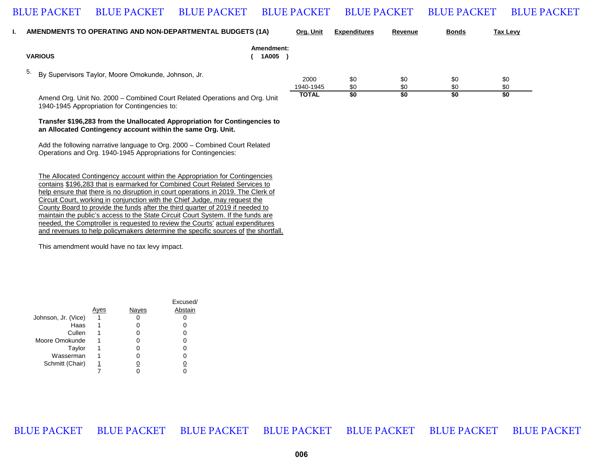| BLUE PACKET                                                                                       | <b>BLUE PACKET</b>                                                                                                                                 | <b>BLUE PACKET</b>                                                                                                                                                                                                                                                                                                                                                                                                                                                                                                                                                                                                                                                            | <b>BLUE PACKET</b>    | <b>BLUE PACKET</b>  |                    | <b>BLUE PACKET</b> | <b>BLUE PACKET</b> |
|---------------------------------------------------------------------------------------------------|----------------------------------------------------------------------------------------------------------------------------------------------------|-------------------------------------------------------------------------------------------------------------------------------------------------------------------------------------------------------------------------------------------------------------------------------------------------------------------------------------------------------------------------------------------------------------------------------------------------------------------------------------------------------------------------------------------------------------------------------------------------------------------------------------------------------------------------------|-----------------------|---------------------|--------------------|--------------------|--------------------|
|                                                                                                   |                                                                                                                                                    | AMENDMENTS TO OPERATING AND NON-DEPARTMENTAL BUDGETS (1A)                                                                                                                                                                                                                                                                                                                                                                                                                                                                                                                                                                                                                     | Org. Unit             | <b>Expenditures</b> | Revenue            | <b>Bonds</b>       | <b>Tax Levy</b>    |
| <b>VARIOUS</b>                                                                                    |                                                                                                                                                    |                                                                                                                                                                                                                                                                                                                                                                                                                                                                                                                                                                                                                                                                               | Amendment:<br>1A005 ) |                     |                    |                    |                    |
| 5.                                                                                                | By Supervisors Taylor, Moore Omokunde, Johnson, Jr.                                                                                                |                                                                                                                                                                                                                                                                                                                                                                                                                                                                                                                                                                                                                                                                               | 2000<br>1940-1945     | \$0<br>\$0          | \$0<br>\$0         | \$0<br>\$0         | \$0<br>\$0         |
|                                                                                                   | 1940-1945 Appropriation for Contingencies to:                                                                                                      | Amend Org. Unit No. 2000 - Combined Court Related Operations and Org. Unit                                                                                                                                                                                                                                                                                                                                                                                                                                                                                                                                                                                                    | <b>TOTAL</b>          | $\overline{50}$     | $\overline{50}$    | $\overline{50}$    | $\overline{50}$    |
|                                                                                                   | an Allocated Contingency account within the same Org. Unit.                                                                                        | Transfer \$196,283 from the Unallocated Appropriation for Contingencies to                                                                                                                                                                                                                                                                                                                                                                                                                                                                                                                                                                                                    |                       |                     |                    |                    |                    |
|                                                                                                   | Operations and Org. 1940-1945 Appropriations for Contingencies:                                                                                    | Add the following narrative language to Org. 2000 - Combined Court Related                                                                                                                                                                                                                                                                                                                                                                                                                                                                                                                                                                                                    |                       |                     |                    |                    |                    |
|                                                                                                   | This amendment would have no tax levy impact.                                                                                                      | The Allocated Contingency account within the Appropriation for Contingencies<br>contains \$196,283 that is earmarked for Combined Court Related Services to<br>help ensure that there is no disruption in court operations in 2019. The Clerk of<br>Circuit Court, working in conjunction with the Chief Judge, may request the<br>County Board to provide the funds after the third quarter of 2019 if needed to<br>maintain the public's access to the State Circuit Court System. If the funds are<br>needed, the Comptroller is requested to review the Courts' actual expenditures<br>and revenues to help policymakers determine the specific sources of the shortfall. |                       |                     |                    |                    |                    |
| Johnson, Jr. (Vice)<br>Haas<br>Cullen<br>Moore Omokunde<br>Taylor<br>Wasserman<br>Schmitt (Chair) | <u>Ayes</u><br><u>Nayes</u><br>0<br>$\overline{1}$<br>$\overline{1}$<br>0<br>0<br>0<br>$\mathbf 0$<br>$\overline{0}$<br>$\Omega$<br>$\overline{7}$ | Excused/<br><b>Abstain</b><br>0<br>0<br>$\mathbf 0$<br>0<br>$\mathbf 0$<br>0<br>$\overline{0}$<br>$\mathbf 0$                                                                                                                                                                                                                                                                                                                                                                                                                                                                                                                                                                 |                       |                     |                    |                    |                    |
| <b>BLUE PACKET</b>                                                                                | <b>BLUE PACKET</b>                                                                                                                                 | <b>BLUE PACKET</b>                                                                                                                                                                                                                                                                                                                                                                                                                                                                                                                                                                                                                                                            | <b>BLUE PACKET</b>    |                     | <b>BLUE PACKET</b> | <b>BLUE PACKET</b> | <b>BLUE PACKET</b> |
|                                                                                                   |                                                                                                                                                    |                                                                                                                                                                                                                                                                                                                                                                                                                                                                                                                                                                                                                                                                               | 006                   |                     |                    |                    |                    |

**I.**

|                     |      |       | Excused/ |
|---------------------|------|-------|----------|
|                     | Aves | Nayes | Abstain  |
| Johnson, Jr. (Vice) |      |       |          |
| Haas                |      |       |          |
| Cullen              |      |       |          |
| Moore Omokunde      |      |       |          |
| Taylor              |      |       |          |
| Wasserman           |      |       |          |
| Schmitt (Chair)     |      |       |          |
|                     |      |       |          |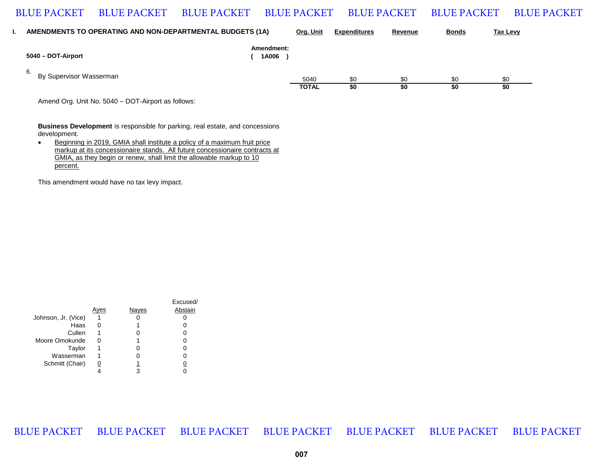| <b>BLUE PACKET</b>                    | <b>BLUE PACKET</b>                                                                      | <b>BLUE PACKET</b>                                                                                                                                                                                                                                                                                             | <b>BLUE PACKET</b>    | <b>BLUE PACKET</b>                   | <b>BLUE PACKET</b>      | <b>BLUE PACKET</b>     |
|---------------------------------------|-----------------------------------------------------------------------------------------|----------------------------------------------------------------------------------------------------------------------------------------------------------------------------------------------------------------------------------------------------------------------------------------------------------------|-----------------------|--------------------------------------|-------------------------|------------------------|
|                                       |                                                                                         | AMENDMENTS TO OPERATING AND NON-DEPARTMENTAL BUDGETS (1A)                                                                                                                                                                                                                                                      | Org. Unit             | <b>Expenditures</b><br>Revenue       | <b>Bonds</b>            | <b>Tax Levy</b>        |
| 5040 - DOT-Airport                    |                                                                                         |                                                                                                                                                                                                                                                                                                                | Amendment:<br>1A006 ) |                                      |                         |                        |
| 6.<br>By Supervisor Wasserman         |                                                                                         |                                                                                                                                                                                                                                                                                                                | 5040<br><b>TOTAL</b>  | \$0<br>\$0<br>$\overline{50}$<br>\$0 | \$0<br>$\overline{50}$  | \$0<br>$\overline{50}$ |
|                                       | Amend Org. Unit No. 5040 - DOT-Airport as follows:                                      |                                                                                                                                                                                                                                                                                                                |                       |                                      |                         |                        |
| development.<br>$\bullet$<br>percent. |                                                                                         | Business Development is responsible for parking, real estate, and concessions<br>Beginning in 2019, GMIA shall institute a policy of a maximum fruit price markup at its concessionaire stands. All future concessionaire contracts at<br>GMIA, as they begin or renew, shall limit the allowable markup to 10 |                       |                                      |                         |                        |
|                                       | This amendment would have no tax levy impact.                                           |                                                                                                                                                                                                                                                                                                                |                       |                                      |                         |                        |
|                                       |                                                                                         |                                                                                                                                                                                                                                                                                                                |                       |                                      |                         |                        |
|                                       |                                                                                         |                                                                                                                                                                                                                                                                                                                |                       |                                      |                         |                        |
|                                       |                                                                                         |                                                                                                                                                                                                                                                                                                                |                       |                                      |                         |                        |
|                                       |                                                                                         |                                                                                                                                                                                                                                                                                                                |                       |                                      |                         |                        |
|                                       | <b>Nayes</b><br><b>Ayes</b>                                                             | Excused/<br><b>Abstain</b>                                                                                                                                                                                                                                                                                     |                       |                                      |                         |                        |
| Johnson, Jr. (Vice)<br>Haas<br>Cullen | $\mathbf 0$<br>$\mathbf{1}$<br>$\pmb{0}$<br>$\mathbf{1}$<br>$\mathbf{1}$<br>$\mathbf 0$ | 0<br>0<br>0                                                                                                                                                                                                                                                                                                    |                       |                                      |                         |                        |
| Moore Omokunde<br>Taylor<br>Wasserman | 0<br>$\mathbf{1}$<br>$\mathbf{1}$<br>$\mathbf 0$<br>$\pmb{0}$                           | 0<br>$\mathbf 0$<br>0                                                                                                                                                                                                                                                                                          |                       |                                      |                         |                        |
| Schmitt (Chair)                       | $\frac{0}{4}$<br>$\frac{1}{3}$                                                          | $\underline{0}$<br>$\mathbf 0$                                                                                                                                                                                                                                                                                 |                       |                                      |                         |                        |
|                                       |                                                                                         |                                                                                                                                                                                                                                                                                                                |                       |                                      |                         |                        |
|                                       |                                                                                         |                                                                                                                                                                                                                                                                                                                |                       |                                      |                         |                        |
| <b>BLUE PACKET</b>                    |                                                                                         | BLUE PACKET BLUE PACKET                                                                                                                                                                                                                                                                                        | <b>BLUE PACKET</b>    |                                      | BLUE PACKET BLUE PACKET | <b>BLUE PACKET</b>     |
|                                       |                                                                                         |                                                                                                                                                                                                                                                                                                                | 007                   |                                      |                         |                        |

**I.**

|                     |      |       | Excused/ |
|---------------------|------|-------|----------|
|                     | Aves | Nayes | Abstain  |
| Johnson, Jr. (Vice) |      |       |          |
| Haas                |      |       |          |
| Cullen              |      |       |          |
| Moore Omokunde      |      |       |          |
| Taylor              |      |       |          |
| Wasserman           |      |       |          |
| Schmitt (Chair)     |      |       |          |
|                     |      |       |          |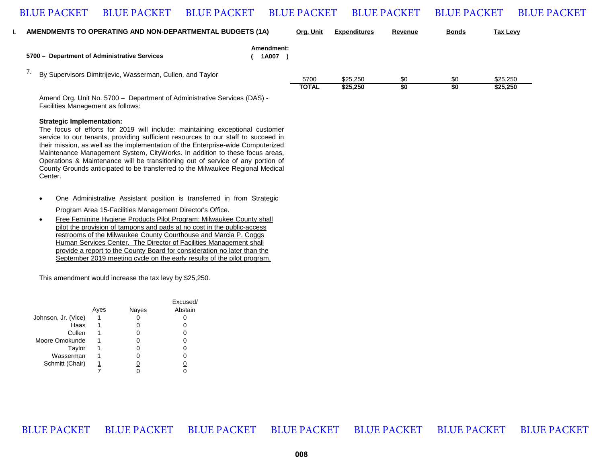| <b>BLUE PACKET</b>                                                                                | <b>BLUE PACKET</b>                                                                                                 | <b>BLUE PACKET</b>                                                                                                                                                                                                                                                                                                                                                                                                                                                                                                         | <b>BLUE PACKET</b>    |                      | <b>BLUE PACKET</b>     | <b>BLUE PACKET</b> |                      | <b>BLUE PACKET</b> |
|---------------------------------------------------------------------------------------------------|--------------------------------------------------------------------------------------------------------------------|----------------------------------------------------------------------------------------------------------------------------------------------------------------------------------------------------------------------------------------------------------------------------------------------------------------------------------------------------------------------------------------------------------------------------------------------------------------------------------------------------------------------------|-----------------------|----------------------|------------------------|--------------------|----------------------|--------------------|
|                                                                                                   |                                                                                                                    | AMENDMENTS TO OPERATING AND NON-DEPARTMENTAL BUDGETS (1A)                                                                                                                                                                                                                                                                                                                                                                                                                                                                  | Org. Unit             | <b>Expenditures</b>  | Revenue                | <b>Bonds</b>       | <b>Tax Levy</b>      |                    |
|                                                                                                   | 5700 - Department of Administrative Services                                                                       |                                                                                                                                                                                                                                                                                                                                                                                                                                                                                                                            | Amendment:<br>1A007 ) |                      |                        |                    |                      |                    |
| 7.                                                                                                | By Supervisors Dimitrijevic, Wasserman, Cullen, and Taylor                                                         |                                                                                                                                                                                                                                                                                                                                                                                                                                                                                                                            | 5700<br><b>TOTAL</b>  | \$25,250<br>\$25,250 | \$0<br>$\overline{50}$ | \$0<br>\$0         | \$25,250<br>\$25,250 |                    |
| Facilities Management as follows:                                                                 |                                                                                                                    | Amend Org. Unit No. 5700 - Department of Administrative Services (DAS) -                                                                                                                                                                                                                                                                                                                                                                                                                                                   |                       |                      |                        |                    |                      |                    |
| <b>Strategic Implementation:</b><br>Center.                                                       |                                                                                                                    | The focus of efforts for 2019 will include: maintaining exceptional customer<br>service to our tenants, providing sufficient resources to our staff to succeed in<br>their mission, as well as the implementation of the Enterprise-wide Computerized<br>Maintenance Management System, CityWorks. In addition to these focus areas,<br>Operations & Maintenance will be transitioning out of service of any portion of<br>County Grounds anticipated to be transferred to the Milwaukee Regional Medical                  |                       |                      |                        |                    |                      |                    |
| $\bullet$                                                                                         | Program Area 15-Facilities Management Director's Office.                                                           | One Administrative Assistant position is transferred in from Strategic<br>Free Feminine Hygiene Products Pilot Program: Milwaukee County shall<br>pilot the provision of tampons and pads at no cost in the public-access<br>restrooms of the Milwaukee County Courthouse and Marcia P. Coggs<br>Human Services Center. The Director of Facilities Management shall<br>provide a report to the County Board for consideration no later than the<br>September 2019 meeting cycle on the early results of the pilot program. |                       |                      |                        |                    |                      |                    |
|                                                                                                   | This amendment would increase the tax levy by \$25,250.                                                            |                                                                                                                                                                                                                                                                                                                                                                                                                                                                                                                            |                       |                      |                        |                    |                      |                    |
| Johnson, Jr. (Vice)<br>Haas<br>Cullen<br>Moore Omokunde<br>Taylor<br>Wasserman<br>Schmitt (Chair) | <b>Nayes</b><br><u>Ayes</u><br>$\Omega$<br>0<br>0<br>$\mathbf 0$<br>$\mathbf 0$<br>0<br>$\overline{7}$<br>$\Omega$ | Excused/<br>Abstain<br>0<br>0<br>$\Omega$<br>$\mathbf 0$<br>0<br>0<br>$\overline{0}$<br>0                                                                                                                                                                                                                                                                                                                                                                                                                                  |                       |                      |                        |                    |                      |                    |
| <b>BLUE PACKET</b>                                                                                | <b>BLUE PACKET</b>                                                                                                 | <b>BLUE PACKET</b>                                                                                                                                                                                                                                                                                                                                                                                                                                                                                                         | <b>BLUE PACKET</b>    |                      | <b>BLUE PACKET</b>     | <b>BLUE PACKET</b> |                      | <b>BLUE PACKET</b> |
|                                                                                                   |                                                                                                                    |                                                                                                                                                                                                                                                                                                                                                                                                                                                                                                                            | 008                   |                      |                        |                    |                      |                    |
|                                                                                                   |                                                                                                                    |                                                                                                                                                                                                                                                                                                                                                                                                                                                                                                                            |                       |                      |                        |                    |                      |                    |

### **Strategic Implementation:**

**I.**

- e One Administrative Assistant position is transferred in from Strategic Program Area 15-Facilities Management Director's Office.
- e Free Feminine Hygiene Products Pilot Program: Milwaukee County shall pilot the provision of tampons and pads at no cost in the public-access restrooms of the Milwaukee County Courthouse and Marcia P. Coggs Human Services Center. The Director of Facilities Management shall provide a report to the County Board for consideration no later than the September 2019 meeting cycle on the early results of the pilot program.

|                     |      |       | Excused/ |
|---------------------|------|-------|----------|
|                     | Aves | Nayes | Abstain  |
| Johnson, Jr. (Vice) |      |       |          |
| Haas                |      |       | O        |
| Cullen              |      |       | Ω        |
| Moore Omokunde      |      |       | 0        |
| Taylor              |      |       |          |
| Wasserman           |      |       |          |
| Schmitt (Chair)     |      |       |          |
|                     |      |       |          |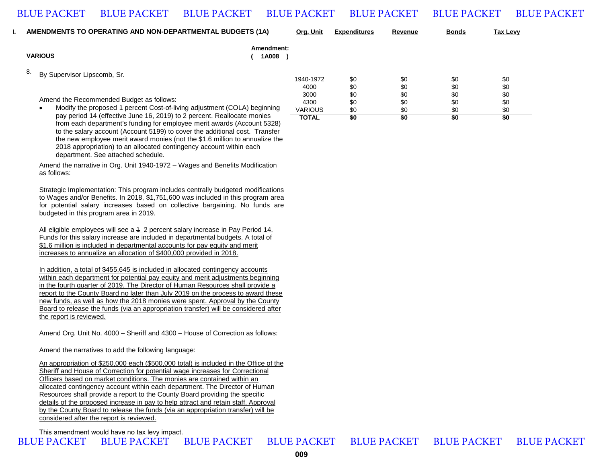| <b>BLUE PACKET</b><br><b>BLUE PACKET</b><br><b>BLUE PACKET</b>                                                                                                                                                                                                                                                                                                                                                                                                                                                                                                                                                                                                                         |                       | <b>BLUE PACKET</b>                             |                                      | <b>BLUE PACKET</b>       | <b>BLUE PACKET</b>                   | <b>BLUE PACKET</b>                   |
|----------------------------------------------------------------------------------------------------------------------------------------------------------------------------------------------------------------------------------------------------------------------------------------------------------------------------------------------------------------------------------------------------------------------------------------------------------------------------------------------------------------------------------------------------------------------------------------------------------------------------------------------------------------------------------------|-----------------------|------------------------------------------------|--------------------------------------|--------------------------|--------------------------------------|--------------------------------------|
| AMENDMENTS TO OPERATING AND NON-DEPARTMENTAL BUDGETS (1A)                                                                                                                                                                                                                                                                                                                                                                                                                                                                                                                                                                                                                              |                       | Org. Unit                                      | <b>Expenditures</b>                  | Revenue                  | <b>Bonds</b>                         | <b>Tax Levy</b>                      |
| <b>VARIOUS</b>                                                                                                                                                                                                                                                                                                                                                                                                                                                                                                                                                                                                                                                                         | Amendment:<br>1A008 ) |                                                |                                      |                          |                                      |                                      |
| 8.<br>By Supervisor Lipscomb, Sr.                                                                                                                                                                                                                                                                                                                                                                                                                                                                                                                                                                                                                                                      |                       | 1940-1972<br>4000                              | \$0<br>\$0                           | \$0<br>\$0               | \$0<br>\$0                           | \$0<br>\$0                           |
| Amend the Recommended Budget as follows:<br>Modify the proposed 1 percent Cost-of-living adjustment (COLA) beginning<br>pay period 14 (effective June 16, 2019) to 2 percent. Reallocate monies<br>from each department's funding for employee merit awards (Account 5328)<br>to the salary account (Account 5199) to cover the additional cost. Transfer<br>the new employee merit award monies (not the \$1.6 million to annualize the<br>2018 appropriation) to an allocated contingency account within each<br>department. See attached schedule.                                                                                                                                  |                       | 3000<br>4300<br><b>VARIOUS</b><br><b>TOTAL</b> | \$0<br>\$0<br>\$0<br>$\overline{50}$ | \$0<br>\$0<br>\$0<br>\$0 | \$0<br>\$0<br>\$0<br>$\overline{50}$ | \$0<br>\$0<br>\$0<br>$\overline{50}$ |
| Amend the narrative in Org. Unit 1940-1972 - Wages and Benefits Modification<br>as follows:                                                                                                                                                                                                                                                                                                                                                                                                                                                                                                                                                                                            |                       |                                                |                                      |                          |                                      |                                      |
| Strategic Implementation: This program includes centrally budgeted modifications<br>to Wages and/or Benefits. In 2018, \$1,751,600 was included in this program area<br>for potential salary increases based on collective bargaining. No funds are<br>budgeted in this program area in 2019.                                                                                                                                                                                                                                                                                                                                                                                          |                       |                                                |                                      |                          |                                      |                                      |
| All eligible employees will see a 4 2 percent salary increase in Pay Period 14.<br>Funds for this salary increase are included in departmental budgets. A total of<br>\$1.6 million is included in departmental accounts for pay equity and merit<br>increases to annualize an allocation of \$400,000 provided in 2018.                                                                                                                                                                                                                                                                                                                                                               |                       |                                                |                                      |                          |                                      |                                      |
| In addition, a total of \$455,645 is included in allocated contingency accounts<br>within each department for potential pay equity and merit adjustments beginning<br>in the fourth quarter of 2019. The Director of Human Resources shall provide a<br>report to the County Board no later than July 2019 on the process to award these<br>new funds, as well as how the 2018 monies were spent. Approval by the County<br>Board to release the funds (via an appropriation transfer) will be considered after<br>the report is reviewed.                                                                                                                                             |                       |                                                |                                      |                          |                                      |                                      |
| Amend Org. Unit No. 4000 - Sheriff and 4300 - House of Correction as follows:                                                                                                                                                                                                                                                                                                                                                                                                                                                                                                                                                                                                          |                       |                                                |                                      |                          |                                      |                                      |
| Amend the narratives to add the following language:                                                                                                                                                                                                                                                                                                                                                                                                                                                                                                                                                                                                                                    |                       |                                                |                                      |                          |                                      |                                      |
| An appropriation of \$250,000 each (\$500,000 total) is included in the Office of the<br>Sheriff and House of Correction for potential wage increases for Correctional<br>Officers based on market conditions. The monies are contained within an<br>allocated contingency account within each department. The Director of Human<br>Resources shall provide a report to the County Board providing the specific<br>details of the proposed increase in pay to help attract and retain staff. Approval<br>by the County Board to release the funds (via an appropriation transfer) will be<br>considered after the report is reviewed.<br>This amendment would have no tax levy impact. |                       |                                                |                                      |                          |                                      |                                      |
| <b>BLUE PACKET</b><br><b>BLUE PACKET</b><br><b>BLUE PACKET</b>                                                                                                                                                                                                                                                                                                                                                                                                                                                                                                                                                                                                                         |                       | <b>BLUE PACKET</b>                             |                                      | <b>BLUE PACKET</b>       | <b>BLUE PACKET</b>                   | <b>BLUE PACKET</b>                   |
|                                                                                                                                                                                                                                                                                                                                                                                                                                                                                                                                                                                                                                                                                        |                       | 009                                            |                                      |                          |                                      |                                      |

**I.**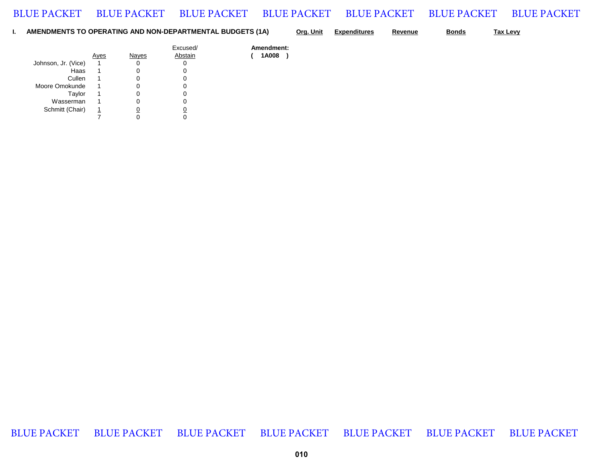### **I. AMENDMENTS TO OPERATING AND NON-DEPARTMENTAL BUDGETS (1A) Org. Unit Expenditures Revenue Bonds Tax Levy**

| <b>BLUE PACKET</b>                                                                                | <b>BLUE PACKET</b>                                                                                                                                                                                          | <b>BLUE PACKET</b>                                                                        | <b>BLUE PACKET</b>    | <b>BLUE PACKET</b>             | <b>BLUE PACKET</b> | <b>BLUE PACKET</b> |
|---------------------------------------------------------------------------------------------------|-------------------------------------------------------------------------------------------------------------------------------------------------------------------------------------------------------------|-------------------------------------------------------------------------------------------|-----------------------|--------------------------------|--------------------|--------------------|
|                                                                                                   |                                                                                                                                                                                                             | AMENDMENTS TO OPERATING AND NON-DEPARTMENTAL BUDGETS (1A)                                 | Org. Unit             | <b>Expenditures</b><br>Revenue | <b>Bonds</b>       | <b>Tax Levy</b>    |
| Johnson, Jr. (Vice)<br>Haas<br>Cullen<br>Moore Omokunde<br>Taylor<br>Wasserman<br>Schmitt (Chair) | <u>Ayes</u><br><b>Nayes</b><br>$\mathbf{1}$<br>0<br>$\mathbf{1}$<br>0<br>$\mathbf{1}$<br>0<br>$\mathbf{1}$<br>0<br>$\pmb{0}$<br>$\mathbf{1}$<br>$\mathbf{1}$<br>$\pmb{0}$<br>$\frac{1}{7}$<br>$\frac{0}{0}$ | Excused/<br><b>Abstain</b><br>0<br>0<br>0<br>0<br>$\pmb{0}$<br>$\pmb{0}$<br>$\frac{0}{0}$ | Amendment:<br>(1A008) |                                |                    |                    |
|                                                                                                   |                                                                                                                                                                                                             | BLUE PACKET BLUE PACKET BLUE PACKET BLUE PACKET BLUE PACKET BLUE PACKET BLUE PACKET       |                       |                                |                    |                    |
|                                                                                                   |                                                                                                                                                                                                             |                                                                                           | 010                   |                                |                    |                    |
|                                                                                                   |                                                                                                                                                                                                             |                                                                                           |                       |                                |                    |                    |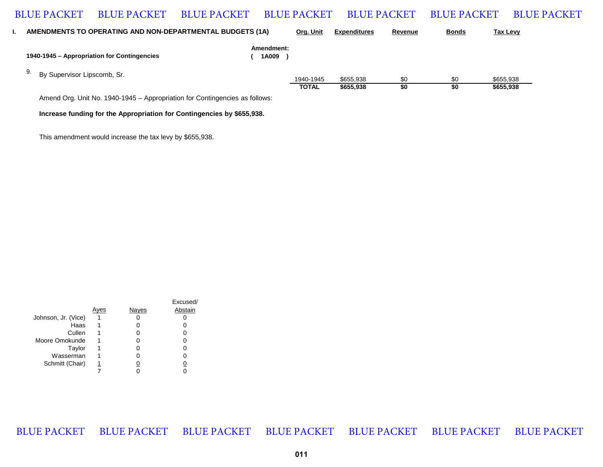|    | <b>BLUE PACKET</b>                 | <b>BLUE PACKET</b>                                                          | <b>BLUE PACKET</b>                      |                       | <b>BLUE PACKET</b>        | <b>BLUE PACKET</b>     |                        | <b>BLUE PACKET</b>     | <b>BLUE PACKET</b>     |  |
|----|------------------------------------|-----------------------------------------------------------------------------|-----------------------------------------|-----------------------|---------------------------|------------------------|------------------------|------------------------|------------------------|--|
| ı. |                                    | AMENDMENTS TO OPERATING AND NON-DEPARTMENTAL BUDGETS (1A)                   |                                         |                       | Org. Unit                 | <b>Expenditures</b>    | Revenue                | <b>Bonds</b>           | <b>Tax Levy</b>        |  |
|    |                                    | 1940-1945 - Appropriation for Contingencies                                 |                                         | Amendment:<br>1A009 ) |                           |                        |                        |                        |                        |  |
|    | 9.<br>By Supervisor Lipscomb, Sr.  |                                                                             |                                         |                       | 1940-1945<br><b>TOTAL</b> | \$655,938<br>\$655,938 | \$0<br>$\overline{50}$ | \$0<br>$\overline{50}$ | \$655,938<br>\$655,938 |  |
|    |                                    | Amend Org. Unit No. 1940-1945 - Appropriation for Contingencies as follows: |                                         |                       |                           |                        |                        |                        |                        |  |
|    |                                    | Increase funding for the Appropriation for Contingencies by \$655,938.      |                                         |                       |                           |                        |                        |                        |                        |  |
|    |                                    | This amendment would increase the tax levy by \$655,938.                    |                                         |                       |                           |                        |                        |                        |                        |  |
|    |                                    |                                                                             |                                         |                       |                           |                        |                        |                        |                        |  |
|    |                                    |                                                                             |                                         |                       |                           |                        |                        |                        |                        |  |
|    |                                    |                                                                             |                                         |                       |                           |                        |                        |                        |                        |  |
|    |                                    |                                                                             |                                         |                       |                           |                        |                        |                        |                        |  |
|    |                                    |                                                                             |                                         |                       |                           |                        |                        |                        |                        |  |
|    |                                    |                                                                             |                                         |                       |                           |                        |                        |                        |                        |  |
|    |                                    |                                                                             |                                         |                       |                           |                        |                        |                        |                        |  |
|    |                                    |                                                                             |                                         |                       |                           |                        |                        |                        |                        |  |
|    |                                    | <b>Nayes</b><br><u>Ayes</u>                                                 | Excused/<br><b>Abstain</b>              |                       |                           |                        |                        |                        |                        |  |
|    | Johnson, Jr. (Vice)<br>Haas        | 0<br>$\mathbf{1}$<br>0<br>-1                                                | 0<br>$\mathbf 0$                        |                       |                           |                        |                        |                        |                        |  |
|    | Cullen<br>Moore Omokunde<br>Taylor | 0<br>0<br>0<br>$\mathbf{1}$                                                 | $\mathbf 0$<br>$\mathbf 0$<br>$\pmb{0}$ |                       |                           |                        |                        |                        |                        |  |
|    | Wasserman<br>Schmitt (Chair)       | 0<br>$\mathbf{1}$<br><u>1</u><br>$\frac{0}{0}$                              | 0<br>$\overline{0}$                     |                       |                           |                        |                        |                        |                        |  |
|    |                                    | $\overline{7}$                                                              | $\overline{0}$                          |                       |                           |                        |                        |                        |                        |  |
|    |                                    |                                                                             |                                         |                       |                           |                        |                        |                        |                        |  |
|    | <b>BLUE PACKET</b>                 | <b>BLUE PACKET</b>                                                          | <b>BLUE PACKET</b>                      |                       | <b>BLUE PACKET</b>        |                        | <b>BLUE PACKET</b>     | <b>BLUE PACKET</b>     | <b>BLUE PACKET</b>     |  |
|    |                                    |                                                                             |                                         |                       |                           |                        |                        |                        |                        |  |
|    |                                    |                                                                             |                                         |                       | 011                       |                        |                        |                        |                        |  |

|                     |      |       | Excused/ |
|---------------------|------|-------|----------|
|                     | Aves | Nayes | Abstain  |
| Johnson, Jr. (Vice) |      |       |          |
| Haas                |      |       |          |
| Cullen              |      |       |          |
| Moore Omokunde      |      |       |          |
| Taylor              |      |       |          |
| Wasserman           |      |       |          |
| Schmitt (Chair)     |      |       |          |
|                     |      |       |          |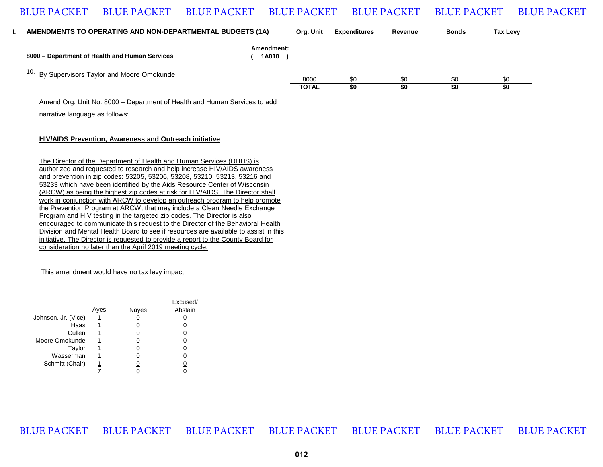| BLUE PACKET                                                                                       | <b>BLUE PACKET</b>                                                                                                                                                                    | <b>BLUE PACKET</b>                                                                                                                                                                                                                                                                                                                                                                                                                                                                                                                                                                                                                                                                                                                                                                                                         | <b>BLUE PACKET</b>    |                        | <b>BLUE PACKET</b>     | <b>BLUE PACKET</b>      | <b>BLUE PACKET</b> |
|---------------------------------------------------------------------------------------------------|---------------------------------------------------------------------------------------------------------------------------------------------------------------------------------------|----------------------------------------------------------------------------------------------------------------------------------------------------------------------------------------------------------------------------------------------------------------------------------------------------------------------------------------------------------------------------------------------------------------------------------------------------------------------------------------------------------------------------------------------------------------------------------------------------------------------------------------------------------------------------------------------------------------------------------------------------------------------------------------------------------------------------|-----------------------|------------------------|------------------------|-------------------------|--------------------|
|                                                                                                   |                                                                                                                                                                                       | AMENDMENTS TO OPERATING AND NON-DEPARTMENTAL BUDGETS (1A)                                                                                                                                                                                                                                                                                                                                                                                                                                                                                                                                                                                                                                                                                                                                                                  | Org. Unit             | <b>Expenditures</b>    | Revenue                | <b>Bonds</b>            | <b>Tax Levy</b>    |
|                                                                                                   | 8000 - Department of Health and Human Services                                                                                                                                        |                                                                                                                                                                                                                                                                                                                                                                                                                                                                                                                                                                                                                                                                                                                                                                                                                            | Amendment:<br>(1A010) |                        |                        |                         |                    |
|                                                                                                   | By Supervisors Taylor and Moore Omokunde                                                                                                                                              |                                                                                                                                                                                                                                                                                                                                                                                                                                                                                                                                                                                                                                                                                                                                                                                                                            | 8000<br><b>TOTAL</b>  | \$0<br>$\overline{50}$ | \$0<br>$\overline{50}$ | \$0<br>\$0              | \$0<br>\$0         |
| narrative language as follows:                                                                    |                                                                                                                                                                                       | Amend Org. Unit No. 8000 - Department of Health and Human Services to add                                                                                                                                                                                                                                                                                                                                                                                                                                                                                                                                                                                                                                                                                                                                                  |                       |                        |                        |                         |                    |
|                                                                                                   | <b>HIV/AIDS Prevention, Awareness and Outreach initiative</b>                                                                                                                         |                                                                                                                                                                                                                                                                                                                                                                                                                                                                                                                                                                                                                                                                                                                                                                                                                            |                       |                        |                        |                         |                    |
|                                                                                                   | Program and HIV testing in the targeted zip codes. The Director is also<br>consideration no later than the April 2019 meeting cycle.<br>This amendment would have no tax levy impact. | The Director of the Department of Health and Human Services (DHHS) is<br>authorized and requested to research and help increase HIV/AIDS awareness<br>and prevention in zip codes: 53205, 53206, 53208, 53210, 53213, 53216 and<br>53233 which have been identified by the Aids Resource Center of Wisconsin<br>(ARCW) as being the highest zip codes at risk for HIV/AIDS. The Director shall<br>work in conjunction with ARCW to develop an outreach program to help promote<br>the Prevention Program at ARCW, that may include a Clean Needle Exchange<br>encouraged to communicate this request to the Director of the Behavioral Health<br>Division and Mental Health Board to see if resources are available to assist in this<br>initiative. The Director is requested to provide a report to the County Board for |                       |                        |                        |                         |                    |
| Johnson, Jr. (Vice)<br>Haas<br>Cullen<br>Moore Omokunde<br>Taylor<br>Wasserman<br>Schmitt (Chair) | <b>Nayes</b><br><u>Ayes</u><br>$\mathbf{1}$<br>0<br>0<br>0<br>0<br>$\Omega$<br>$\overline{0}$<br>$\Omega$                                                                             | Excused/<br><b>Abstain</b><br>0<br>0<br>$\mathbf 0$<br>$\pmb{0}$<br>$\mathbf 0$<br>0<br>$\overline{0}$<br>$\overline{0}$                                                                                                                                                                                                                                                                                                                                                                                                                                                                                                                                                                                                                                                                                                   |                       |                        |                        |                         |                    |
|                                                                                                   |                                                                                                                                                                                       | BLUE PACKET      BLUE PACKET      BLUE PACKET      BLUE PACKET                                                                                                                                                                                                                                                                                                                                                                                                                                                                                                                                                                                                                                                                                                                                                             |                       |                        |                        | BLUE PACKET BLUE PACKET | <b>BLUE PACKET</b> |
|                                                                                                   |                                                                                                                                                                                       |                                                                                                                                                                                                                                                                                                                                                                                                                                                                                                                                                                                                                                                                                                                                                                                                                            | 012                   |                        |                        |                         |                    |

## **HIV/AIDS Prevention, Awareness and Outreach initiative**

**I.**

|                     |      |       | Excused/ |
|---------------------|------|-------|----------|
|                     | Aves | Nayes | Abstain  |
| Johnson, Jr. (Vice) |      |       |          |
| Haas                |      |       |          |
| Cullen              |      |       |          |
| Moore Omokunde      |      |       |          |
| Taylor              |      |       |          |
| Wasserman           |      |       |          |
| Schmitt (Chair)     |      |       |          |
|                     |      |       |          |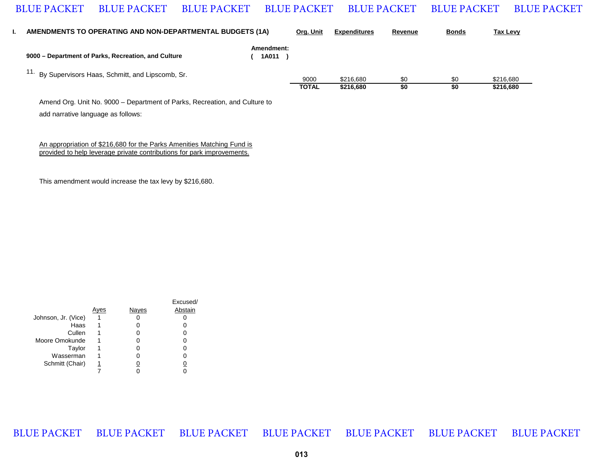| <b>BLUE PACKET</b>                                       | <b>BLUE PACKET</b>                                                                                                                               | <b>BLUE PACKET</b>                                                         | <b>BLUE PACKET</b>    | <b>BLUE PACKET</b>     |            | <b>BLUE PACKET</b> | <b>BLUE PACKET</b>     |
|----------------------------------------------------------|--------------------------------------------------------------------------------------------------------------------------------------------------|----------------------------------------------------------------------------|-----------------------|------------------------|------------|--------------------|------------------------|
|                                                          |                                                                                                                                                  | AMENDMENTS TO OPERATING AND NON-DEPARTMENTAL BUDGETS (1A)                  | Org. Unit             | <b>Expenditures</b>    | Revenue    | <b>Bonds</b>       | <b>Tax Levy</b>        |
|                                                          | 9000 - Department of Parks, Recreation, and Culture                                                                                              |                                                                            | Amendment:<br>1A011 ) |                        |            |                    |                        |
|                                                          | <sup>11.</sup> By Supervisors Haas, Schmitt, and Lipscomb, Sr.                                                                                   |                                                                            | 9000<br><b>TOTAL</b>  | \$216,680<br>\$216,680 | \$0<br>\$0 | \$0<br>\$0         | \$216,680<br>\$216,680 |
|                                                          | add narrative language as follows:                                                                                                               | Amend Org. Unit No. 9000 - Department of Parks, Recreation, and Culture to |                       |                        |            |                    |                        |
|                                                          | An appropriation of \$216,680 for the Parks Amenities Matching Fund is<br>provided to help leverage private contributions for park improvements. |                                                                            |                       |                        |            |                    |                        |
|                                                          | This amendment would increase the tax levy by \$216,680.                                                                                         |                                                                            |                       |                        |            |                    |                        |
|                                                          |                                                                                                                                                  |                                                                            |                       |                        |            |                    |                        |
|                                                          |                                                                                                                                                  |                                                                            |                       |                        |            |                    |                        |
|                                                          |                                                                                                                                                  | Excused/                                                                   |                       |                        |            |                    |                        |
| Johnson, Jr. (Vice)<br>Haas<br>Cullen                    | <b>Ayes</b><br><b>Nayes</b><br>$\mathbf{1}$<br>0<br>$\mathbf{1}$<br>$\mathbf 0$<br>$\boldsymbol{0}$<br>1                                         | Abstain<br>0<br>0<br>0                                                     |                       |                        |            |                    |                        |
| Moore Omokunde<br>Taylor<br>Wasserman<br>Schmitt (Chair) | $\pmb{0}$<br>$\mathbf{1}$<br>$\overline{A}$<br>$\pmb{0}$<br>0<br>$\frac{0}{0}$<br>$\frac{1}{7}$                                                  | $\mathbf 0$<br>$\mathbf 0$<br>0<br>$\overline{0}$                          |                       |                        |            |                    |                        |
|                                                          |                                                                                                                                                  | $\Omega$                                                                   |                       |                        |            |                    |                        |
| <b>BLUE PACKET</b>                                       | <b>BLUE PACKET</b>                                                                                                                               | <b>BLUE PACKET</b>                                                         | <b>BLUE PACKET</b>    | <b>BLUE PACKET</b>     |            | <b>BLUE PACKET</b> | <b>BLUE PACKET</b>     |
|                                                          |                                                                                                                                                  |                                                                            | 013                   |                        |            |                    |                        |
|                                                          |                                                                                                                                                  |                                                                            |                       |                        |            |                    |                        |

|                     |      |       | Excused/ |
|---------------------|------|-------|----------|
|                     | Aves | Nayes | Abstain  |
| Johnson, Jr. (Vice) |      |       |          |
| Haas                |      |       |          |
| Cullen              |      |       |          |
| Moore Omokunde      |      |       |          |
| Taylor              |      |       |          |
| Wasserman           |      |       |          |
| Schmitt (Chair)     | 1    |       |          |
|                     |      |       |          |

**I.**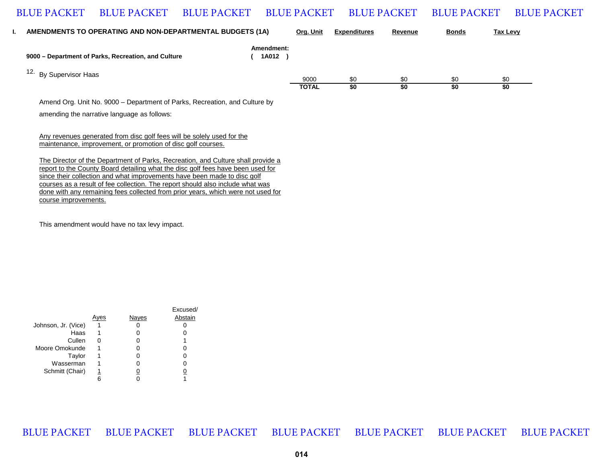|    | <b>BLUE PACKET</b><br><b>BLUE PACKET</b><br><b>BLUE PACKET</b>                                                                                                                                                                                 |                       | <b>BLUE PACKET</b>   |                        | <b>BLUE PACKET</b>     | <b>BLUE PACKET</b>                  | <b>BLUE PACKET</b>     |  |
|----|------------------------------------------------------------------------------------------------------------------------------------------------------------------------------------------------------------------------------------------------|-----------------------|----------------------|------------------------|------------------------|-------------------------------------|------------------------|--|
| L. | AMENDMENTS TO OPERATING AND NON-DEPARTMENTAL BUDGETS (1A)                                                                                                                                                                                      |                       | Org. Unit            | <b>Expenditures</b>    | Revenue                | <b>Bonds</b>                        | <b>Tax Levy</b>        |  |
|    | 9000 - Department of Parks, Recreation, and Culture                                                                                                                                                                                            | Amendment:<br>1A012 ) |                      |                        |                        |                                     |                        |  |
|    | 12.<br>By Supervisor Haas                                                                                                                                                                                                                      |                       | 9000<br><b>TOTAL</b> | \$0<br>$\overline{50}$ | \$0<br>$\overline{50}$ | \$0<br>$\overline{50}$              | \$0<br>$\overline{50}$ |  |
|    | Amend Org. Unit No. 9000 - Department of Parks, Recreation, and Culture by                                                                                                                                                                     |                       |                      |                        |                        |                                     |                        |  |
|    | amending the narrative language as follows:                                                                                                                                                                                                    |                       |                      |                        |                        |                                     |                        |  |
|    | Any revenues generated from disc golf fees will be solely used for the<br>maintenance, improvement, or promotion of disc golf courses.                                                                                                         |                       |                      |                        |                        |                                     |                        |  |
|    | The Director of the Department of Parks, Recreation, and Culture shall provide a<br>report to the County Board detailing what the disc golf fees have been used for                                                                            |                       |                      |                        |                        |                                     |                        |  |
|    | since their collection and what improvements have been made to disc golf<br>courses as a result of fee collection. The report should also include what was<br>done with any remaining fees collected from prior years, which were not used for |                       |                      |                        |                        |                                     |                        |  |
|    | course improvements.                                                                                                                                                                                                                           |                       |                      |                        |                        |                                     |                        |  |
|    | This amendment would have no tax levy impact.                                                                                                                                                                                                  |                       |                      |                        |                        |                                     |                        |  |
|    |                                                                                                                                                                                                                                                |                       |                      |                        |                        |                                     |                        |  |
|    |                                                                                                                                                                                                                                                |                       |                      |                        |                        |                                     |                        |  |
|    |                                                                                                                                                                                                                                                |                       |                      |                        |                        |                                     |                        |  |
|    | Excused/<br>Abstain<br><u>Nayes</u><br><u>Ayes</u>                                                                                                                                                                                             |                       |                      |                        |                        |                                     |                        |  |
|    | Johnson, Jr. (Vice)<br>0<br>0<br>$\mathbf{1}$<br>0<br>$\mathbf 0$<br>Haas<br>$\mathbf{1}$                                                                                                                                                      |                       |                      |                        |                        |                                     |                        |  |
|    | $\pmb{0}$<br>Cullen<br>0<br>-1<br>$\mathbf 0$<br>Moore Omokunde<br>$\mathbf 0$<br>$\mathbf 0$<br>$\mathbf 0$<br>Taylor                                                                                                                         |                       |                      |                        |                        |                                     |                        |  |
|    | $\mathbf 0$<br>Wasserman<br>$\mathbf 0$<br>Schmitt (Chair)<br>$\overline{\mathbf{0}}$<br>$\overline{0}$<br>$\overline{1}$                                                                                                                      |                       |                      |                        |                        |                                     |                        |  |
|    | $\Omega$<br>$\mathbf{1}$<br>6                                                                                                                                                                                                                  |                       |                      |                        |                        |                                     |                        |  |
|    |                                                                                                                                                                                                                                                |                       |                      |                        |                        |                                     |                        |  |
|    | <b>BLUE PACKET</b><br><b>BLUE PACKET</b><br><b>BLUE PACKET</b>                                                                                                                                                                                 |                       |                      |                        |                        | BLUE PACKET BLUE PACKET BLUE PACKET | <b>BLUE PACKE</b>      |  |
|    |                                                                                                                                                                                                                                                |                       | 014                  |                        |                        |                                     |                        |  |

|                     |      |       | Excused/ |
|---------------------|------|-------|----------|
|                     | Aves | Nayes | Abstain  |
| Johnson, Jr. (Vice) |      |       |          |
| Haas                |      |       |          |
| Cullen              |      |       |          |
| Moore Omokunde      |      |       |          |
| Taylor              |      |       |          |
| Wasserman           |      |       |          |
| Schmitt (Chair)     |      |       |          |
|                     |      |       |          |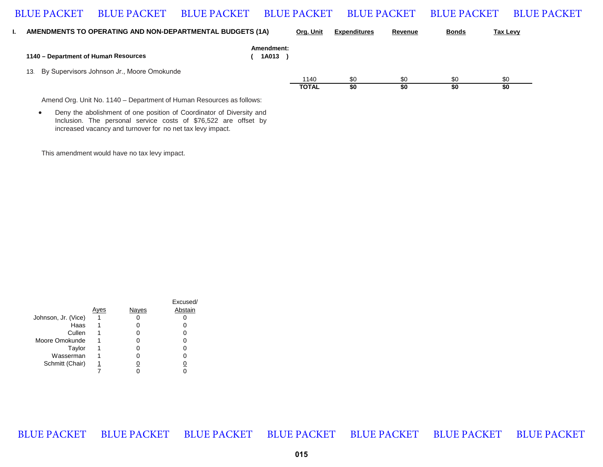| <b>BLUE PACKET</b>                    | <b>BLUE PACKET</b>                                         | <b>BLUE PACKET</b>                                                                                                                      |                       | <b>BLUE PACKET</b>   |                     | <b>BLUE PACKET</b>     | <b>BLUE PACKET</b>     |                        | <b>BLUE PACKET</b> |
|---------------------------------------|------------------------------------------------------------|-----------------------------------------------------------------------------------------------------------------------------------------|-----------------------|----------------------|---------------------|------------------------|------------------------|------------------------|--------------------|
|                                       |                                                            | AMENDMENTS TO OPERATING AND NON-DEPARTMENTAL BUDGETS (1A)                                                                               |                       | Org. Unit            | <b>Expenditures</b> | Revenue                | <b>Bonds</b>           | <b>Tax Levy</b>        |                    |
| 1140 - Department of Human Resources  |                                                            |                                                                                                                                         | Amendment:<br>1A013 ) |                      |                     |                        |                        |                        |                    |
| 13.                                   | By Supervisors Johnson Jr., Moore Omokunde                 |                                                                                                                                         |                       | 1140<br><b>TOTAL</b> | \$0<br>\$0          | \$0<br>$\overline{50}$ | \$0<br>$\overline{50}$ | \$0<br>$\overline{50}$ |                    |
|                                       |                                                            | Amend Org. Unit No. 1140 - Department of Human Resources as follows:                                                                    |                       |                      |                     |                        |                        |                        |                    |
| $\bullet$                             | increased vacancy and turnover for no net tax levy impact. | Deny the abolishment of one position of Coordinator of Diversity and<br>Inclusion. The personal service costs of \$76,522 are offset by |                       |                      |                     |                        |                        |                        |                    |
|                                       | This amendment would have no tax levy impact.              |                                                                                                                                         |                       |                      |                     |                        |                        |                        |                    |
|                                       |                                                            |                                                                                                                                         |                       |                      |                     |                        |                        |                        |                    |
|                                       |                                                            |                                                                                                                                         |                       |                      |                     |                        |                        |                        |                    |
|                                       |                                                            |                                                                                                                                         |                       |                      |                     |                        |                        |                        |                    |
|                                       |                                                            |                                                                                                                                         |                       |                      |                     |                        |                        |                        |                    |
|                                       |                                                            |                                                                                                                                         |                       |                      |                     |                        |                        |                        |                    |
|                                       |                                                            |                                                                                                                                         |                       |                      |                     |                        |                        |                        |                    |
|                                       | <b>Ayes</b><br><b>Nayes</b>                                | Excused/<br><b>Abstain</b>                                                                                                              |                       |                      |                     |                        |                        |                        |                    |
| Johnson, Jr. (Vice)<br>Haas<br>Cullen | $\mathbf{1}$<br>0<br>$\mathbf{1}$<br>0<br>1<br>0           | 0<br>0<br>0                                                                                                                             |                       |                      |                     |                        |                        |                        |                    |
| Moore Omokunde<br>Taylor<br>Wasserman | $\mathbf 0$<br>1<br>$\mathbf 0$<br>1<br>0<br>1             | 0<br>$\mathbf 0$<br>0                                                                                                                   |                       |                      |                     |                        |                        |                        |                    |
| Schmitt (Chair)                       | $\frac{0}{0}$<br>$\overline{1}$<br>$\overline{7}$          | $\overline{0}$<br>$\mathbf 0$                                                                                                           |                       |                      |                     |                        |                        |                        |                    |
|                                       |                                                            |                                                                                                                                         |                       |                      |                     |                        |                        |                        |                    |
| <b>BLUE PACKET</b>                    |                                                            | <b>BLUE PACKET</b>                                                                                                                      |                       | <b>BLUE PACKET</b>   |                     | <b>BLUE PACKET</b>     | <b>BLUE PACKET</b>     |                        | <b>BLUE PACKET</b> |
|                                       | <b>BLUE PACKET</b>                                         |                                                                                                                                         |                       |                      |                     |                        |                        |                        |                    |
|                                       |                                                            |                                                                                                                                         |                       | 015                  |                     |                        |                        |                        |                    |

|                     |      |       | Excused/ |
|---------------------|------|-------|----------|
|                     | Aves | Nayes | Abstain  |
| Johnson, Jr. (Vice) |      |       |          |
| Haas                |      |       |          |
| Cullen              |      |       |          |
| Moore Omokunde      |      |       |          |
| Taylor              |      |       |          |
| Wasserman           |      |       |          |
| Schmitt (Chair)     |      |       |          |
|                     |      |       |          |

**I.**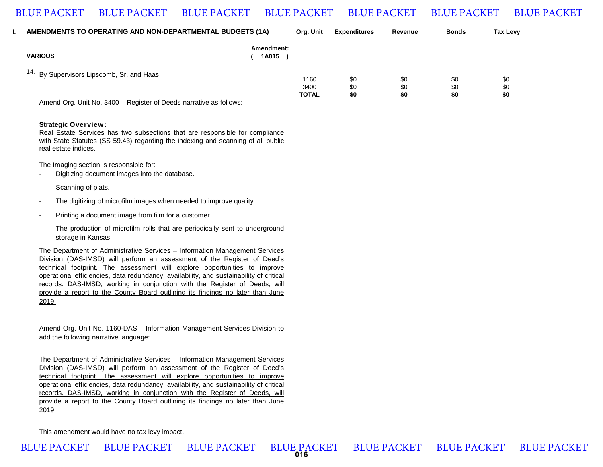| <b>BLUE PACKET</b>                                 | <b>BLUE PACKET</b>                                                 | <b>BLUE PACKET</b>                                                                                                                                                                                                                                                                                                                                                                                                                                                                                     | <b>BLUE PACKET</b>    |                     | <b>BLUE PACKET</b> | <b>BLUE PACKET</b> | <b>BLUE PACKET</b> |
|----------------------------------------------------|--------------------------------------------------------------------|--------------------------------------------------------------------------------------------------------------------------------------------------------------------------------------------------------------------------------------------------------------------------------------------------------------------------------------------------------------------------------------------------------------------------------------------------------------------------------------------------------|-----------------------|---------------------|--------------------|--------------------|--------------------|
|                                                    |                                                                    | AMENDMENTS TO OPERATING AND NON-DEPARTMENTAL BUDGETS (1A)                                                                                                                                                                                                                                                                                                                                                                                                                                              | Org. Unit             | <b>Expenditures</b> | <b>Revenue</b>     | <b>Bonds</b>       | <b>Tax Levy</b>    |
| <b>VARIOUS</b>                                     |                                                                    |                                                                                                                                                                                                                                                                                                                                                                                                                                                                                                        | Amendment:<br>1A015 ) |                     |                    |                    |                    |
| By Supervisors Lipscomb, Sr. and Haas              |                                                                    |                                                                                                                                                                                                                                                                                                                                                                                                                                                                                                        | 1160<br>3400          | \$0<br>\$0          | \$0<br>\$0         | \$0<br>\$0         | \$0<br>\$0         |
|                                                    | Amend Org. Unit No. 3400 - Register of Deeds narrative as follows: |                                                                                                                                                                                                                                                                                                                                                                                                                                                                                                        | <b>TOTAL</b>          | \$0                 | \$0                | \$0                | \$0                |
| <b>Strategic Overview:</b><br>real estate indices. |                                                                    | Real Estate Services has two subsections that are responsible for compliance<br>with State Statutes (SS 59.43) regarding the indexing and scanning of all public                                                                                                                                                                                                                                                                                                                                       |                       |                     |                    |                    |                    |
| The Imaging section is responsible for:            | Digitizing document images into the database.                      |                                                                                                                                                                                                                                                                                                                                                                                                                                                                                                        |                       |                     |                    |                    |                    |
| Scanning of plats.<br>$\overline{\phantom{a}}$     |                                                                    |                                                                                                                                                                                                                                                                                                                                                                                                                                                                                                        |                       |                     |                    |                    |                    |
| $\overline{\phantom{a}}$                           |                                                                    | The digitizing of microfilm images when needed to improve quality.                                                                                                                                                                                                                                                                                                                                                                                                                                     |                       |                     |                    |                    |                    |
| $\overline{\phantom{a}}$                           | Printing a document image from film for a customer.                |                                                                                                                                                                                                                                                                                                                                                                                                                                                                                                        |                       |                     |                    |                    |                    |
| storage in Kansas.                                 |                                                                    | The production of microfilm rolls that are periodically sent to underground                                                                                                                                                                                                                                                                                                                                                                                                                            |                       |                     |                    |                    |                    |
| 2019.                                              |                                                                    | <u>The Department of Administrative Services - Information Management Services</u><br>Division (DAS-IMSD) will perform an assessment of the Register of Deed's<br>technical footprint. The assessment will explore opportunities to improve<br>operational efficiencies, data redundancy, availability, and sustainability of critical<br>records. DAS-IMSD, working in conjunction with the Register of Deeds, will<br>provide a report to the County Board outlining its findings no later than June |                       |                     |                    |                    |                    |
| add the following narrative language:              |                                                                    | Amend Org. Unit No. 1160-DAS - Information Management Services Division to                                                                                                                                                                                                                                                                                                                                                                                                                             |                       |                     |                    |                    |                    |
| 2019.                                              |                                                                    | The Department of Administrative Services - Information Management Services<br>Division (DAS-IMSD) will perform an assessment of the Register of Deed's<br>technical footprint. The assessment will explore opportunities to improve<br>operational efficiencies, data redundancy, availability, and sustainability of critical<br>records. DAS-IMSD, working in conjunction with the Register of Deeds, will<br>provide a report to the County Board outlining its findings no later than June        |                       |                     |                    |                    |                    |
|                                                    | This amendment would have no tax levy impact.                      |                                                                                                                                                                                                                                                                                                                                                                                                                                                                                                        |                       |                     |                    |                    |                    |
| <b>BLUE PACKET</b>                                 | <b>BLUE PACKET</b>                                                 | <b>BLUE PACKET</b>                                                                                                                                                                                                                                                                                                                                                                                                                                                                                     | <b>BLUE PACKET</b>    |                     | <b>BLUE PACKET</b> | <b>BLUE PACKET</b> | <b>BLUE PACKE</b>  |

### **Strategic Overview:**

**I.**

- Digitizing document images into the database.
- Scanning of plats.
- The digitizing of microfilm images when needed to improve quality.
- Printing <sup>a</sup> document image from film for <sup>a</sup> customer.
- The production of microfilm rolls that are periodically sent to underground storage in Kansas.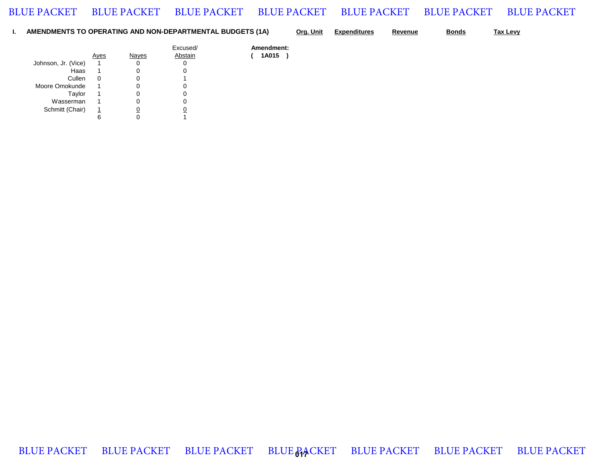### **I. AMENDMENTS TO OPERATING AND NON-DEPARTMENTAL BUDGETS (1A) Org. Unit Expenditures Revenue Bonds Tax Levy**

|    |                                                                                                   |                                                                                                                     |                                                                                                                                |                                                                                                                                |                       |           |                     |         |              | BLUE PACKET      BLUE PACKET      BLUE PACKET      BLUE PACKET      BLUE PACKET      BLUE PACKET      BLUE PACKET |  |
|----|---------------------------------------------------------------------------------------------------|---------------------------------------------------------------------------------------------------------------------|--------------------------------------------------------------------------------------------------------------------------------|--------------------------------------------------------------------------------------------------------------------------------|-----------------------|-----------|---------------------|---------|--------------|-------------------------------------------------------------------------------------------------------------------|--|
| L. |                                                                                                   |                                                                                                                     |                                                                                                                                | AMENDMENTS TO OPERATING AND NON-DEPARTMENTAL BUDGETS (1A)                                                                      |                       | Org. Unit | <b>Expenditures</b> | Revenue | <b>Bonds</b> | <b>Tax Levy</b>                                                                                                   |  |
|    | Johnson, Jr. (Vice)<br>Haas<br>Cullen<br>Moore Omokunde<br>Taylor<br>Wasserman<br>Schmitt (Chair) | <b>Ayes</b><br>$\overline{1}$<br>$\mathbf{1}$<br>0<br>$\mathbf{1}$<br>$\mathbf{1}$<br>$\mathbf{1}$<br>$\frac{1}{6}$ | <b>Nayes</b><br>$\pmb{0}$<br>$\pmb{0}$<br>$\pmb{0}$<br>$\pmb{0}$<br>$\pmb{0}$<br>$\mathbf 0$<br>$\underline{0}$<br>$\mathsf 0$ | Excused/<br>Abstain<br>0<br>$\pmb{0}$<br>$\mathbf{1}$<br>$\pmb{0}$<br>$\pmb{0}$<br>$\pmb{0}$<br>$\overline{0}$<br>$\mathbf{1}$ | Amendment:<br>(1A015) |           |                     |         |              |                                                                                                                   |  |
|    |                                                                                                   |                                                                                                                     |                                                                                                                                |                                                                                                                                |                       |           |                     |         |              |                                                                                                                   |  |
|    | <b>BLUE PACKET</b>                                                                                |                                                                                                                     |                                                                                                                                | BLUE PACKET BLUE PACKET                                                                                                        |                       |           |                     |         |              | BLUE RACKET BLUE PACKET BLUE PACKET BLUE PACK                                                                     |  |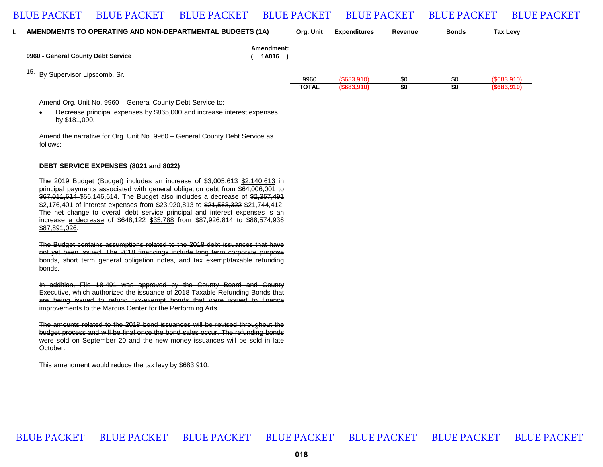| BLUE PACKET                        | <b>BLUE PACKET</b>                                                                                                                                                                                                                                                                                                                                                                                                                                                                                 | <b>BLUE PACKET</b> |                       | <b>BLUE PACKET</b>   | <b>BLUE PACKET</b>         |                    | <b>BLUE PACKET</b> |                              | <b>BLUE PACKET</b> |
|------------------------------------|----------------------------------------------------------------------------------------------------------------------------------------------------------------------------------------------------------------------------------------------------------------------------------------------------------------------------------------------------------------------------------------------------------------------------------------------------------------------------------------------------|--------------------|-----------------------|----------------------|----------------------------|--------------------|--------------------|------------------------------|--------------------|
|                                    | AMENDMENTS TO OPERATING AND NON-DEPARTMENTAL BUDGETS (1A)                                                                                                                                                                                                                                                                                                                                                                                                                                          |                    |                       | Org. Unit            | <b>Expenditures</b>        | <u>Revenue</u>     | <u>Bonds</u>       | <b>Tax Levy</b>              |                    |
| 9960 - General County Debt Service |                                                                                                                                                                                                                                                                                                                                                                                                                                                                                                    |                    | Amendment:<br>1A016 ) |                      |                            |                    |                    |                              |                    |
| By Supervisor Lipscomb, Sr.        |                                                                                                                                                                                                                                                                                                                                                                                                                                                                                                    |                    |                       | 9960<br><b>TOTAL</b> | (\$683,910)<br>(\$683,910) | \$0<br>\$0         | \$0<br>\$0         | (\$683,910)<br>( \$683, 910) |                    |
| by \$181,090.                      | Amend Org. Unit No. 9960 - General County Debt Service to:<br>Decrease principal expenses by \$865,000 and increase interest expenses                                                                                                                                                                                                                                                                                                                                                              |                    |                       |                      |                            |                    |                    |                              |                    |
| follows:                           | Amend the narrative for Org. Unit No. 9960 - General County Debt Service as                                                                                                                                                                                                                                                                                                                                                                                                                        |                    |                       |                      |                            |                    |                    |                              |                    |
|                                    | DEBT SERVICE EXPENSES (8021 and 8022)                                                                                                                                                                                                                                                                                                                                                                                                                                                              |                    |                       |                      |                            |                    |                    |                              |                    |
| \$87,891,026.                      | The 2019 Budget (Budget) includes an increase of \$3,005,613 \$2,140,613 in<br>principal payments associated with general obligation debt from \$64,006,001 to<br>\$67,011,614 \$66,146,614. The Budget also includes a decrease of \$2,357,491<br>\$2,176,401 of interest expenses from \$23,920,813 to \$21,563,322 \$21,744,412.<br>The net change to overall debt service principal and interest expenses is an<br>increase a decrease of \$648,122 \$35,788 from \$87,926,814 to \$88,574,936 |                    |                       |                      |                            |                    |                    |                              |                    |
| bonds.                             | The Budget contains assumptions related to the 2018 debt issuances that have<br>not yet been issued. The 2018 financings include long term corporate purpose<br>bonds, short term general obligation notes, and tax exempt/taxable refunding                                                                                                                                                                                                                                                       |                    |                       |                      |                            |                    |                    |                              |                    |
|                                    | In addition, File 18-491 was approved by the County Board and County<br>Executive, which authorized the issuance of 2018 Taxable Refunding Bonds that<br>are being issued to refund tax-exempt bonds that were issued to finance<br>improvements to the Marcus Center for the Performing Arts.                                                                                                                                                                                                     |                    |                       |                      |                            |                    |                    |                              |                    |
| October.                           | The amounts related to the 2018 bond issuances will be revised throughout the<br>budget process and will be final once the bond sales occur. The refunding bonds<br>were sold on September 20 and the new money issuances will be sold in late                                                                                                                                                                                                                                                     |                    |                       |                      |                            |                    |                    |                              |                    |
|                                    | This amendment would reduce the tax levy by \$683,910.                                                                                                                                                                                                                                                                                                                                                                                                                                             |                    |                       |                      |                            |                    |                    |                              |                    |
|                                    |                                                                                                                                                                                                                                                                                                                                                                                                                                                                                                    |                    |                       |                      |                            |                    |                    |                              |                    |
| <b>BLUE PACKET</b>                 | <b>BLUE PACKET</b>                                                                                                                                                                                                                                                                                                                                                                                                                                                                                 | <b>BLUE PACKET</b> |                       | <b>BLUE PACKET</b>   |                            | <b>BLUE PACKET</b> | <b>BLUE PACKET</b> |                              | <b>BLUE PACKET</b> |
|                                    |                                                                                                                                                                                                                                                                                                                                                                                                                                                                                                    |                    |                       | 018                  |                            |                    |                    |                              |                    |

### **DEBT SERVICE EXPENSES (8021 and 8022)**

**I.**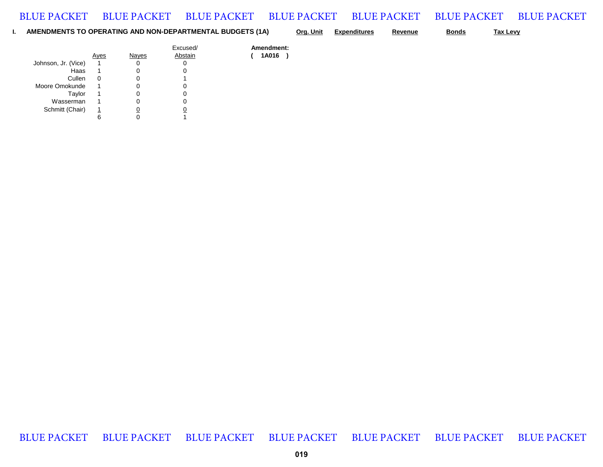# BLUE PACKET BLUE PACKET BLUE PACKET BLUE PACKET BLUE PACKET BLUE PACKET BLUE PACKET

**I. AMENDMENTS TO OPERATING AND NON-DEPARTMENTAL BUDGETS (1A) Org. Unit Expenditures Revenue Bonds Tax Levy**

|                     |             |       | Excused/ | Amendment:             |
|---------------------|-------------|-------|----------|------------------------|
|                     | <b>Ayes</b> | Nayes | Abstain  | $\rightarrow$<br>1A016 |
| Johnson, Jr. (Vice) |             |       |          |                        |
| Haas                |             |       |          |                        |
| Cullen              | 0           |       |          |                        |
| Moore Omokunde      |             |       |          |                        |
| Taylor              |             |       |          |                        |
| Wasserman           |             |       |          |                        |
| Schmitt (Chair)     |             | U     |          |                        |
|                     |             |       |          |                        |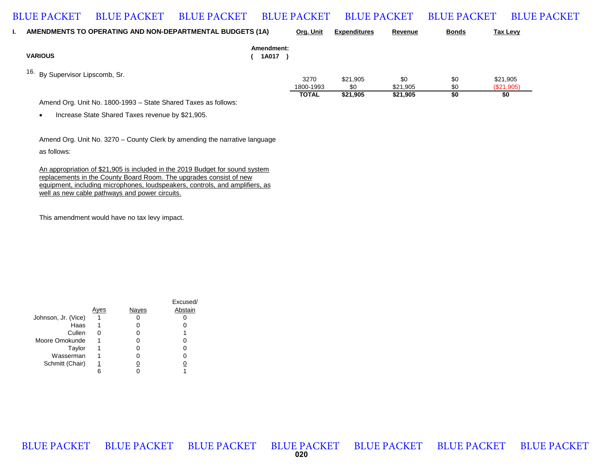# BLUE PACKET BLUE PACKET BLUE PACKET BLUE PACKET BLUE PACKET BLUE PACKET BLUE PACKET

| AMENDMENTS TO OPERATING AND NON-DEPARTMENTAL BUDGETS (1A)      |                     | Org. Unit         | <b>Expenditures</b> | Revenue         | <b>Bonds</b> | <b>Tax Levy</b>        |  |
|----------------------------------------------------------------|---------------------|-------------------|---------------------|-----------------|--------------|------------------------|--|
| <b>VARIOUS</b>                                                 | Amendment:<br>1A017 |                   |                     |                 |              |                        |  |
| <sup>16.</sup> By Supervisor Lipscomb, Sr.                     |                     | 3270<br>1800-1993 | \$21.905<br>\$0     | \$0<br>\$21,905 | \$0<br>\$0   | \$21.905<br>(\$21,905) |  |
| Amend Org. Unit No. 1800-1993 - State Shared Taxes as follows: |                     | <b>TOTAL</b>      | \$21,905            | \$21,905        | \$0          | \$0                    |  |

e Increase State Shared Taxes revenue by \$21,905.

Amend Org. Unit No. 3270 – County Clerk by amending the narrative language as follows:

An appropriation of \$21,905 is included in the 2019 Budget for sound system replacements in the County Board Room. The upgrades consist of new equipment, including microphones, loudspeakers, controls, and amplifiers, as well as new cable pathways and power circuits.

This amendment would have no tax levy impact.

|                     |      |       | Excused/ |
|---------------------|------|-------|----------|
|                     | Aves | Nayes | Abstain  |
| Johnson, Jr. (Vice) |      |       |          |
| Haas                |      |       |          |
| Cullen              |      |       |          |
| Moore Omokunde      |      |       | 0        |
| Taylor              |      |       |          |
| Wasserman           |      |       |          |
| Schmitt (Chair)     |      |       |          |
|                     |      |       |          |

**I.**

BLUE PACKET BLUE PACKET BLUE PACKET BLUE PACKET BLUE PACKET BLUE PACKET BLUE PACKET

**020**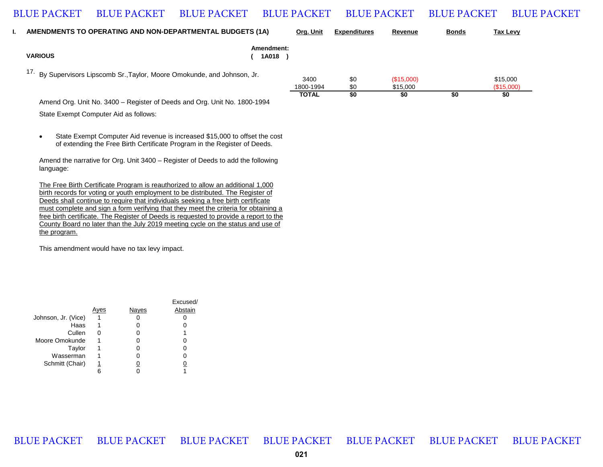| BLUE PACKET        |                                                                   | <b>BLUE PACKET</b>                                                                    | <b>BLUE PACKET</b>                                                                                                                                                                                                                                                                                                                                                                                                                                                                                                         |                     | <b>BLUE PACKET</b> | <b>BLUE PACKET</b>  |                        | <b>BLUE PACKET</b> | <b>BLUE PACKET</b>     |  |
|--------------------|-------------------------------------------------------------------|---------------------------------------------------------------------------------------|----------------------------------------------------------------------------------------------------------------------------------------------------------------------------------------------------------------------------------------------------------------------------------------------------------------------------------------------------------------------------------------------------------------------------------------------------------------------------------------------------------------------------|---------------------|--------------------|---------------------|------------------------|--------------------|------------------------|--|
|                    |                                                                   |                                                                                       | AMENDMENTS TO OPERATING AND NON-DEPARTMENTAL BUDGETS (1A)                                                                                                                                                                                                                                                                                                                                                                                                                                                                  |                     | Org. Unit          | <b>Expenditures</b> | Revenue                | <b>Bonds</b>       | <b>Tax Levy</b>        |  |
| <b>VARIOUS</b>     |                                                                   |                                                                                       |                                                                                                                                                                                                                                                                                                                                                                                                                                                                                                                            | Amendment:<br>1A018 |                    |                     |                        |                    |                        |  |
| 17.                |                                                                   |                                                                                       | By Supervisors Lipscomb Sr., Taylor, Moore Omokunde, and Johnson, Jr.                                                                                                                                                                                                                                                                                                                                                                                                                                                      |                     | 3400<br>1800-1994  | \$0<br>\$0          | (\$15,000)<br>\$15,000 |                    | \$15,000<br>(\$15,000) |  |
|                    |                                                                   | State Exempt Computer Aid as follows:                                                 | Amend Org. Unit No. 3400 - Register of Deeds and Org. Unit No. 1800-1994                                                                                                                                                                                                                                                                                                                                                                                                                                                   |                     | <b>TOTAL</b>       | \$0                 | \$0                    | \$0                | \$0                    |  |
| $\bullet$          |                                                                   |                                                                                       | State Exempt Computer Aid revenue is increased \$15,000 to offset the cost<br>of extending the Free Birth Certificate Program in the Register of Deeds.                                                                                                                                                                                                                                                                                                                                                                    |                     |                    |                     |                        |                    |                        |  |
| language:          |                                                                   |                                                                                       | Amend the narrative for Org. Unit 3400 - Register of Deeds to add the following                                                                                                                                                                                                                                                                                                                                                                                                                                            |                     |                    |                     |                        |                    |                        |  |
|                    | the program.                                                      |                                                                                       | The Free Birth Certificate Program is reauthorized to allow an additional 1,000<br>birth records for voting or youth employment to be distributed. The Register of<br>Deeds shall continue to require that individuals seeking a free birth certificate<br>must complete and sign a form verifying that they meet the criteria for obtaining a<br>free birth certificate. The Register of Deeds is requested to provide a report to the<br>County Board no later than the July 2019 meeting cycle on the status and use of |                     |                    |                     |                        |                    |                        |  |
|                    |                                                                   | This amendment would have no tax levy impact.                                         |                                                                                                                                                                                                                                                                                                                                                                                                                                                                                                                            |                     |                    |                     |                        |                    |                        |  |
|                    |                                                                   | <u>Ayes</u><br><b>Nayes</b>                                                           | Excused/<br>Abstain                                                                                                                                                                                                                                                                                                                                                                                                                                                                                                        |                     |                    |                     |                        |                    |                        |  |
|                    | Johnson, Jr. (Vice)<br>Haas<br>Cullen<br>Moore Omokunde<br>Taylor | $\mathbf 1$<br>0<br>$\mathbf{1}$<br>0<br>$\mathbf 0$<br>0<br>0<br>0<br>$\overline{1}$ | 0<br>0<br>1<br>0<br>0                                                                                                                                                                                                                                                                                                                                                                                                                                                                                                      |                     |                    |                     |                        |                    |                        |  |
|                    | Wasserman<br>Schmitt (Chair)                                      | 0<br>1<br>$\frac{1}{6}$<br><u>0</u><br>0                                              | 0<br>$\overline{0}$                                                                                                                                                                                                                                                                                                                                                                                                                                                                                                        |                     |                    |                     |                        |                    |                        |  |
| <b>BLUE PACKET</b> |                                                                   | <b>BLUE PACKET</b>                                                                    | <b>BLUE PACKET</b>                                                                                                                                                                                                                                                                                                                                                                                                                                                                                                         |                     | <b>BLUE PACKET</b> |                     | <b>BLUE PACKET</b>     | <b>BLUE PACKET</b> | <b>BLUE PACKET</b>     |  |
|                    |                                                                   |                                                                                       |                                                                                                                                                                                                                                                                                                                                                                                                                                                                                                                            |                     | 021                |                     |                        |                    |                        |  |

|                     |      |       | Excused/ |
|---------------------|------|-------|----------|
|                     | Aves | Nayes | Abstain  |
| Johnson, Jr. (Vice) |      |       |          |
| Haas                |      |       |          |
| Cullen              |      |       |          |
| Moore Omokunde      |      |       | 0        |
| Taylor              |      |       |          |
| Wasserman           |      |       |          |
| Schmitt (Chair)     |      |       |          |
|                     |      |       |          |

**I.**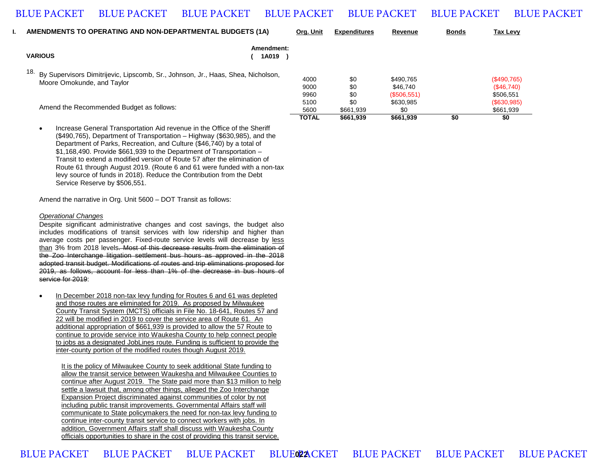| <b>BLUE PACKET</b>                              | <b>BLUE PACKET</b>                                                                                                                                                                                                                                                                                                                                                                                                                                                                                                                                                                                                                                                                                                                                                       | <b>BLUE PACKET</b> |                       | <b>BLUE PACKET</b>           |                          | <b>BLUE PACKET</b>                                | <b>BLUE PACKET</b> |                                                       | <b>BLUE PACKET</b> |
|-------------------------------------------------|--------------------------------------------------------------------------------------------------------------------------------------------------------------------------------------------------------------------------------------------------------------------------------------------------------------------------------------------------------------------------------------------------------------------------------------------------------------------------------------------------------------------------------------------------------------------------------------------------------------------------------------------------------------------------------------------------------------------------------------------------------------------------|--------------------|-----------------------|------------------------------|--------------------------|---------------------------------------------------|--------------------|-------------------------------------------------------|--------------------|
|                                                 | AMENDMENTS TO OPERATING AND NON-DEPARTMENTAL BUDGETS (1A)                                                                                                                                                                                                                                                                                                                                                                                                                                                                                                                                                                                                                                                                                                                |                    |                       | Org. Unit                    | <b>Expenditures</b>      | Revenue                                           | <b>Bonds</b>       | <b>Tax Levy</b>                                       |                    |
| <b>VARIOUS</b>                                  |                                                                                                                                                                                                                                                                                                                                                                                                                                                                                                                                                                                                                                                                                                                                                                          |                    | Amendment:<br>1A019 ) |                              |                          |                                                   |                    |                                                       |                    |
| Moore Omokunde, and Taylor                      | By Supervisors Dimitrijevic, Lipscomb, Sr., Johnson, Jr., Haas, Shea, Nicholson,                                                                                                                                                                                                                                                                                                                                                                                                                                                                                                                                                                                                                                                                                         |                    |                       | 4000<br>9000<br>9960<br>5100 | \$0<br>\$0<br>\$0<br>\$0 | \$490,765<br>\$46,740<br>(\$506,551)<br>\$630,985 |                    | (\$490,765)<br>(\$46,740)<br>\$506,551<br>(\$630,985) |                    |
|                                                 | Amend the Recommended Budget as follows:                                                                                                                                                                                                                                                                                                                                                                                                                                                                                                                                                                                                                                                                                                                                 |                    |                       | 5600<br><b>TOTAL</b>         | \$661,939<br>\$661,939   | \$0<br>\$661,939                                  | $\overline{50}$    | \$661,939<br>\$0                                      |                    |
| $\bullet$                                       | Increase General Transportation Aid revenue in the Office of the Sheriff<br>(\$490,765), Department of Transportation - Highway (\$630,985), and the<br>Department of Parks, Recreation, and Culture (\$46,740) by a total of<br>\$1,168,490. Provide \$661,939 to the Department of Transportation -<br>Transit to extend a modified version of Route 57 after the elimination of<br>Route 61 through August 2019. (Route 6 and 61 were funded with a non-tax<br>levy source of funds in 2018). Reduce the Contribution from the Debt<br>Service Reserve by \$506,551.                                                                                                                                                                                                  |                    |                       |                              |                          |                                                   |                    |                                                       |                    |
|                                                 | Amend the narrative in Org. Unit 5600 - DOT Transit as follows:                                                                                                                                                                                                                                                                                                                                                                                                                                                                                                                                                                                                                                                                                                          |                    |                       |                              |                          |                                                   |                    |                                                       |                    |
| <b>Operational Changes</b><br>service for 2019: | Despite significant administrative changes and cost savings, the budget also<br>includes modifications of transit services with low ridership and higher than<br>average costs per passenger. Fixed-route service levels will decrease by less<br>than 3% from 2018 levels. Most of this decrease results from the elimination of<br>the Zoo Interchange litigation settlement bus hours as approved in the 2018<br>adopted transit budget. Modifications of routes and trip eliminations proposed for<br>2019, as follows, account for less than 1% of the decrease in bus hours of                                                                                                                                                                                     |                    |                       |                              |                          |                                                   |                    |                                                       |                    |
| $\bullet$                                       | In December 2018 non-tax levy funding for Routes 6 and 61 was depleted<br>and those routes are eliminated for 2019. As proposed by Milwaukee<br>County Transit System (MCTS) officials in File No. 18-641, Routes 57 and<br>22 will be modified in 2019 to cover the service area of Route 61. An<br>additional appropriation of \$661,939 is provided to allow the 57 Route to<br>continue to provide service into Waukesha County to help connect people<br>to jobs as a designated JobLines route. Funding is sufficient to provide the<br>inter-county portion of the modified routes though August 2019.                                                                                                                                                            |                    |                       |                              |                          |                                                   |                    |                                                       |                    |
|                                                 | It is the policy of Milwaukee County to seek additional State funding to<br>allow the transit service between Waukesha and Milwaukee Counties to<br>continue after August 2019. The State paid more than \$13 million to help<br>settle a lawsuit that, among other things, alleged the Zoo Interchange<br>Expansion Project discriminated against communities of color by not<br>including public transit improvements. Governmental Affairs staff will<br>communicate to State policymakers the need for non-tax levy funding to<br>continue inter-county transit service to connect workers with jobs. In<br>addition, Government Affairs staff shall discuss with Waukesha County<br>officials opportunities to share in the cost of providing this transit service. |                    |                       |                              |                          |                                                   |                    |                                                       |                    |
| <b>BLUE PACKET</b>                              | <b>BLUE PACKET</b>                                                                                                                                                                                                                                                                                                                                                                                                                                                                                                                                                                                                                                                                                                                                                       | <b>BLUE PACKET</b> |                       | <b>BLUEOPACKET</b>           |                          | <b>BLUE PACKET</b>                                | <b>BLUE PACKET</b> |                                                       | <b>BLUE PACKE</b>  |

## *Operational Changes*

**I.**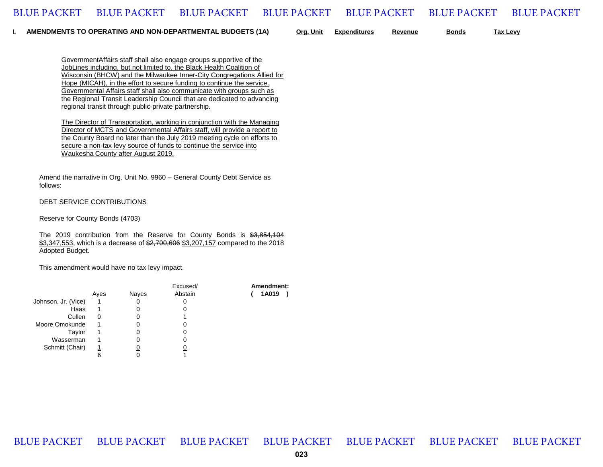### **I. AMENDMENTS TO OPERATING AND NON-DEPARTMENTAL BUDGETS (1A) Org. Unit Expenditures Revenue Bonds Tax Levy**

## DEBT SERVICE CONTRIBUTIONS

## Reserve for County Bonds (4703)

| <b>BLUE PACKET</b>                                                                                |                                                                            | <b>BLUE PACKET</b>                                   | <b>BLUE PACKET</b>                                                                                                                                                                                                                                                                                                                                                                                                                                                                                                              | <b>BLUE PACKET</b>                                     | <b>BLUE PACKET</b>                    | <b>BLUE PACKET</b>      | <b>BLUE PACKET</b> |
|---------------------------------------------------------------------------------------------------|----------------------------------------------------------------------------|------------------------------------------------------|---------------------------------------------------------------------------------------------------------------------------------------------------------------------------------------------------------------------------------------------------------------------------------------------------------------------------------------------------------------------------------------------------------------------------------------------------------------------------------------------------------------------------------|--------------------------------------------------------|---------------------------------------|-------------------------|--------------------|
|                                                                                                   |                                                                            |                                                      | AMENDMENTS TO OPERATING AND NON-DEPARTMENTAL BUDGETS (1A)                                                                                                                                                                                                                                                                                                                                                                                                                                                                       | Org. Unit                                              | <b>Expenditures</b><br><b>Revenue</b> | <b>Bonds</b>            | <b>Tax Levy</b>    |
|                                                                                                   |                                                                            | regional transit through public-private partnership. | GovernmentAffairs staff shall also engage groups supportive of the<br>JobLines including, but not limited to, the Black Health Coalition of<br>Wisconsin (BHCW) and the Milwaukee Inner-City Congregations Allied for<br>Hope (MICAH), in the effort to secure funding to continue the service.<br>Governmental Affairs staff shall also communicate with groups such as<br>the Regional Transit Leadership Council that are dedicated to advancing<br>The Director of Transportation, working in conjunction with the Managing |                                                        |                                       |                         |                    |
|                                                                                                   |                                                                            | Waukesha County after August 2019.                   | Director of MCTS and Governmental Affairs staff, will provide a report to<br>the County Board no later than the July 2019 meeting cycle on efforts to<br>secure a non-tax levy source of funds to continue the service into                                                                                                                                                                                                                                                                                                     |                                                        |                                       |                         |                    |
| follows:                                                                                          |                                                                            |                                                      | Amend the narrative in Org. Unit No. 9960 - General County Debt Service as                                                                                                                                                                                                                                                                                                                                                                                                                                                      |                                                        |                                       |                         |                    |
| DEBT SERVICE CONTRIBUTIONS<br>Reserve for County Bonds (4703)                                     |                                                                            |                                                      |                                                                                                                                                                                                                                                                                                                                                                                                                                                                                                                                 |                                                        |                                       |                         |                    |
| Adopted Budget.                                                                                   |                                                                            |                                                      | The 2019 contribution from the Reserve for County Bonds is \$3,854,104<br>\$3,347,553, which is a decrease of \$2,700,606 \$3,207,157 compared to the 2018                                                                                                                                                                                                                                                                                                                                                                      |                                                        |                                       |                         |                    |
| This amendment would have no tax levy impact.                                                     |                                                                            |                                                      |                                                                                                                                                                                                                                                                                                                                                                                                                                                                                                                                 |                                                        |                                       |                         |                    |
| Johnson, Jr. (Vice)<br>Haas<br>Cullen<br>Moore Omokunde<br>Taylor<br>Wasserman<br>Schmitt (Chair) | <u>Ayes</u><br>$\mathbf{1}$<br>$\mathbf{1}$<br>$\mathbf 0$<br>$\mathbf{1}$ | <b>Nayes</b><br>0<br>0<br>0<br>0<br>0<br>0           | Excused/<br><b>Abstain</b><br>0<br>0<br>0<br>0<br>0<br>$\underline{0}$                                                                                                                                                                                                                                                                                                                                                                                                                                                          | Amendment:<br>1A019 )                                  |                                       |                         |                    |
|                                                                                                   | 6                                                                          | $\overline{0}$<br>0                                  | $\mathbf{1}$                                                                                                                                                                                                                                                                                                                                                                                                                                                                                                                    |                                                        |                                       |                         |                    |
|                                                                                                   |                                                                            |                                                      |                                                                                                                                                                                                                                                                                                                                                                                                                                                                                                                                 | BLUE PACKET BLUE PACKET BLUE PACKET BLUE PACKET<br>023 |                                       | BLUE PACKET BLUE PACKET | <b>BLUE PACKET</b> |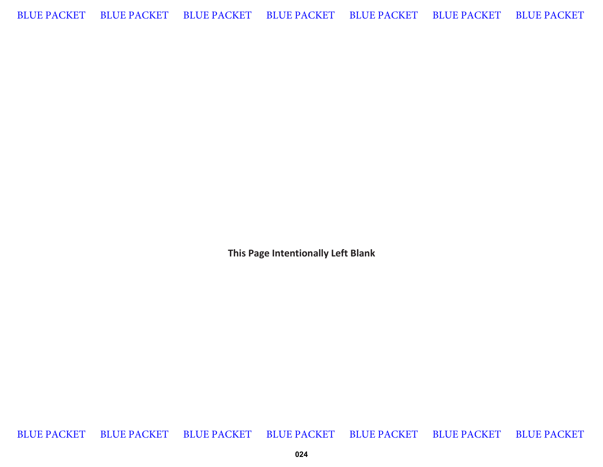**This Page Intentionally Left Blank** 

BLUE PACKET BLUE PACKET BLUE PACKET BLUE PACKET BLUE PACKET BLUE PACKET BLUE PACKET BLUE PACKET BLUE PACKET BLUE PACKET BLUE PACKET BLUE PACKET BLUE PACKET BLUE PACKET BLUE PACKET BLUE PACKET BLUE PACKET BLUE PACKET BLUE P BLUE PACKET BLUE PACKET BLUE PACKET BLUE PACKET BLUE PACKET BLUE PACKET BLUE PACKET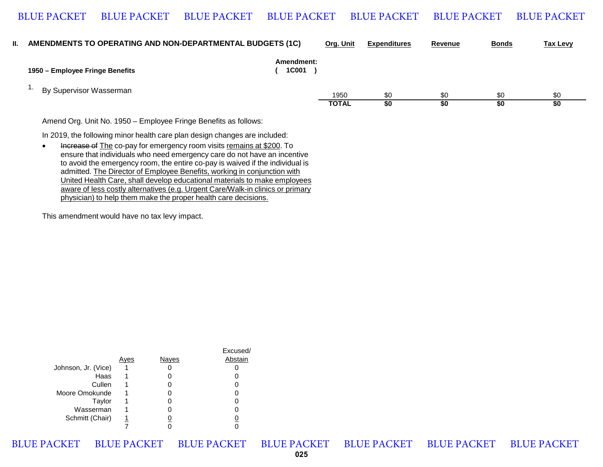| Ш. | AMENDMENTS TO OPERATING AND NON-DEPARTMENTAL BUDGETS (1C) |                     | Org. Unit    | <b>Expenditures</b> | Revenue | <b>Bonds</b> | <b>Tax Levy</b> |
|----|-----------------------------------------------------------|---------------------|--------------|---------------------|---------|--------------|-----------------|
|    | 1950 – Employee Fringe Benefits                           | Amendment:<br>1C001 |              |                     |         |              |                 |
|    | By Supervisor Wasserman                                   |                     | 1950         | \$0                 | \$0     | \$0          | \$0             |
|    |                                                           |                     | <b>TOTAL</b> | \$0                 | \$0     | \$0          | \$0             |

Amend Org. Unit No. 1950 – Employee Fringe Benefits as follows:

In 2019, the following minor health care plan design changes are included:

 $\bullet$  Increase of The co-pay for emergency room visits remains at \$200. To ensure that individuals who need emergency care do not have an incentive to avoid the emergency room, the entire co-pay is waived if the individual is admitted. The Director of Employee Benefits, working in conjunction with United Health Care, shall develop educational materials to make employees aware of less costly alternatives (e.g. Urgent Care/Walk-in clinics or primary physician) to help them make the proper health care decisions.

This amendment would have no tax levy impact.

|                     |      |       | Excused/ |
|---------------------|------|-------|----------|
|                     | Aves | Nayes | Abstain  |
| Johnson, Jr. (Vice) |      |       |          |
| Haas                |      |       |          |
| Cullen              |      |       |          |
| Moore Omokunde      |      |       |          |
| Taylor              |      |       |          |
| Wasserman           |      |       |          |
| Schmitt (Chair)     |      |       |          |
|                     |      |       |          |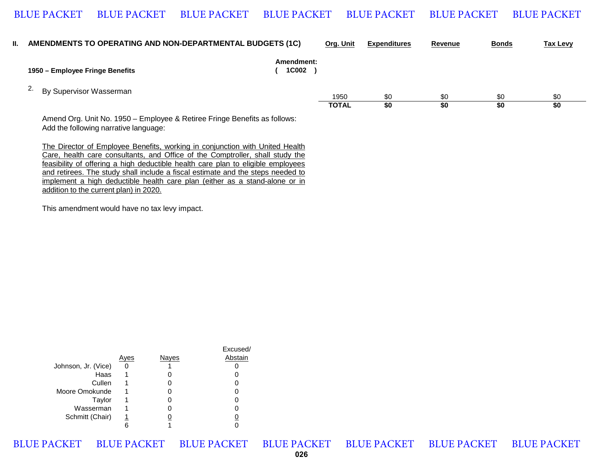|    | <b>BLUE PACKET</b>                                                                                                               |                                                                                  | <b>BLUE PACKET</b>                                 | <b>BLUE PACKET</b>                                                                                                                                                                                                                                                                                                                                                                                                                                                                               | <b>BLUE PACKET</b>        |                      | <b>BLUE PACKET</b>     | <b>BLUE PACKET</b>     |                        | <b>BLUE PACKET</b>     |
|----|----------------------------------------------------------------------------------------------------------------------------------|----------------------------------------------------------------------------------|----------------------------------------------------|--------------------------------------------------------------------------------------------------------------------------------------------------------------------------------------------------------------------------------------------------------------------------------------------------------------------------------------------------------------------------------------------------------------------------------------------------------------------------------------------------|---------------------------|----------------------|------------------------|------------------------|------------------------|------------------------|
| Ш. |                                                                                                                                  |                                                                                  |                                                    | AMENDMENTS TO OPERATING AND NON-DEPARTMENTAL BUDGETS (1C)                                                                                                                                                                                                                                                                                                                                                                                                                                        |                           | Org. Unit            | <b>Expenditures</b>    | Revenue                | <b>Bonds</b>           | <b>Tax Levy</b>        |
|    | 1950 - Employee Fringe Benefits                                                                                                  |                                                                                  |                                                    |                                                                                                                                                                                                                                                                                                                                                                                                                                                                                                  | Amendment:<br>$1C002$ )   |                      |                        |                        |                        |                        |
|    | 2.<br>By Supervisor Wasserman                                                                                                    |                                                                                  |                                                    |                                                                                                                                                                                                                                                                                                                                                                                                                                                                                                  |                           | 1950<br><b>TOTAL</b> | \$0<br>$\overline{50}$ | \$0<br>$\overline{50}$ | \$0<br>$\overline{50}$ | \$0<br>$\overline{50}$ |
|    | Add the following narrative language:<br>addition to the current plan) in 2020.<br>This amendment would have no tax levy impact. |                                                                                  |                                                    | Amend Org. Unit No. 1950 - Employee & Retiree Fringe Benefits as follows:<br>The Director of Employee Benefits, working in conjunction with United Health<br>Care, health care consultants, and Office of the Comptroller, shall study the<br>feasibility of offering a high deductible health care plan to eligible employees<br>and retirees. The study shall include a fiscal estimate and the steps needed to<br>implement a high deductible health care plan (either as a stand-alone or in |                           |                      |                        |                        |                        |                        |
|    | Johnson, Jr. (Vice)<br>Moore Omokunde<br>Schmitt (Chair)                                                                         | <b>Ayes</b><br>0<br>Haas<br>Cullen<br>Taylor<br>Wasserman<br>$\overline{1}$<br>6 | <b>Nayes</b><br>1<br>0<br>0<br>0<br>$\overline{0}$ | Excused/<br>Abstain<br>0<br>0<br>0<br>0<br>0<br>0<br>$\overline{0}$<br>$\Omega$                                                                                                                                                                                                                                                                                                                                                                                                                  |                           |                      |                        |                        |                        |                        |
|    | <b>BLUE PACKET</b>                                                                                                               |                                                                                  | <b>BLUE PACKET</b>                                 | <b>BLUE PACKET</b>                                                                                                                                                                                                                                                                                                                                                                                                                                                                               | <b>BLUE PACKET</b><br>026 |                      | <b>BLUE PACKET</b>     | <b>BLUE PACKET</b>     |                        | <b>BLUE PACKET</b>     |

|                     |      |       | Excused/ |
|---------------------|------|-------|----------|
|                     | Ayes | Nayes | Abstain  |
| Johnson, Jr. (Vice) |      |       |          |
| Haas                |      |       |          |
| Cullen              |      |       |          |
| Moore Omokunde      |      |       |          |
| Taylor              |      |       |          |
| Wasserman           |      |       |          |
| Schmitt (Chair)     |      |       |          |
|                     |      |       |          |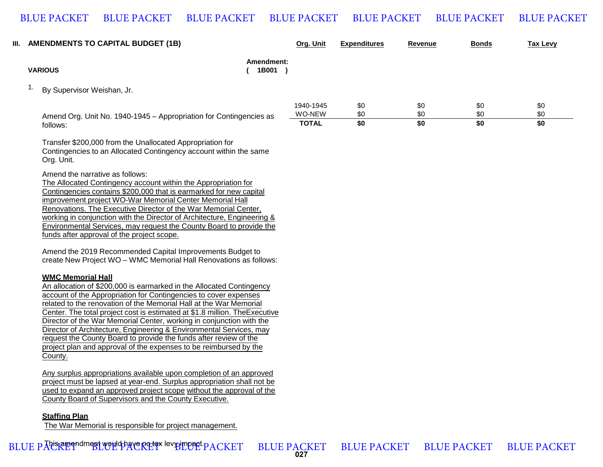# BLUE PACKET BLUE PACKET BLUE PACKET BLUE PACKET BLUE PACKET BLUE PACKET BLUE PACKET

| III. | <b>AMENDMENTS TO CAPITAL BUDGET (1B)</b>                           | Org. Unit           | <b>Expenditures</b>        | Revenue    | <b>Bonds</b> | <b>Tax Levy</b> |            |
|------|--------------------------------------------------------------------|---------------------|----------------------------|------------|--------------|-----------------|------------|
|      | <b>VARIOUS</b>                                                     | Amendment:<br>1B001 |                            |            |              |                 |            |
|      | By Supervisor Weishan, Jr.<br>. .                                  |                     |                            |            |              |                 |            |
|      | Amend Org. Unit No. 1940-1945 - Appropriation for Contingencies as |                     | 1940-1945<br><b>WO-NEW</b> | \$0<br>\$0 | \$0<br>\$0   | \$0<br>\$0      | \$0<br>\$0 |
|      | follows:                                                           |                     | <b>TOTAL</b>               | \$0        | \$0          | \$0             | \$0        |

Transfer \$200,000 from the Unallocated Appropriation for Contingencies to an Allocated Contingency account within the same Org. Unit.

Amend the narrative as follows:

The Allocated Contingency account within the Appropriation for Contingencies contains \$200,000 that is earmarked for new capital improvement project WO-War Memorial Center Memorial Hall Renovations. The Executive Director of the War Memorial Center, working in conjunction with the Director of Architecture, Engineering & Environmental Services, may request the County Board to provide the funds after approval of the project scope.

Amend the 2019 Recommended Capital Improvements Budget to create New Project WO – WMC Memorial Hall Renovations as follows:

## **WMC Memorial Hall**

 An allocation of \$200,000 is earmarked in the Allocated Contingencyaccount of the Appropriation for Contingencies to cover expenses related to the renovation of the Memorial Hall at the War Memorial Center. The total project cost is estimated at \$1.8 million. TheExecutive Director of the War Memorial Center, working in conjunction with the Director of Architecture, Engineering & Environmental Services, mayrequest the County Board to provide the funds after review of the<br>project plan and approval of the expanses to be rejurbured by the project plan and approval of the expenses to be reimbursed by the County.

Any surplus appropriations available upon completion of an approved project must be lapsed at year-end. Surplus appropriation shall not be used to expand an approved project scope without the approval of the County Board of Supervisors and the County Executive.

## **Staffing Plan**

The War Memorial is responsible for project management.

**027**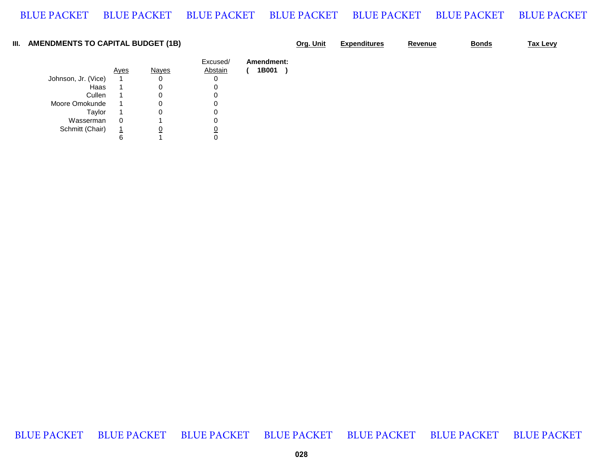## **III. AMENDMENTS TO CAPITAL BUDGET (1B) Org. Unit Expenditures Revenue Bonds Tax Levy**

| BLUE PACKET BLUE PACKET BLUE PACKET                                                               |                                                                                                                           |                                                                                                          |                                                                                                                           |                       | <b>BLUE PACKET</b> |                     |         | BLUE PACKET BLUE PACKET | <b>BLUE PACKET</b>                              |
|---------------------------------------------------------------------------------------------------|---------------------------------------------------------------------------------------------------------------------------|----------------------------------------------------------------------------------------------------------|---------------------------------------------------------------------------------------------------------------------------|-----------------------|--------------------|---------------------|---------|-------------------------|-------------------------------------------------|
| <b>AMENDMENTS TO CAPITAL BUDGET (1B)</b>                                                          |                                                                                                                           |                                                                                                          |                                                                                                                           |                       | Org. Unit          | <b>Expenditures</b> | Revenue | <b>Bonds</b>            | <b>Tax Levy</b>                                 |
| Johnson, Jr. (Vice)<br>Haas<br>Cullen<br>Moore Omokunde<br>Taylor<br>Wasserman<br>Schmitt (Chair) | <b>Ayes</b><br>$\mathbf{1}$<br>$\mathbf{1}$<br>$\mathbf{1}$<br>$\mathbf{1}$<br>$\mathbf{1}$<br>$\pmb{0}$<br>$\frac{1}{6}$ | <b>Nayes</b><br>0<br>0<br>0<br>$\pmb{0}$<br>$\pmb{0}$<br>$\mathbf{1}$<br>$\underline{0}$<br>$\mathbf{1}$ | Excused/<br>Abstain<br>$\pmb{0}$<br>$\pmb{0}$<br>$\pmb{0}$<br>${\bf 0}$<br>$\pmb{0}$<br>$\boldsymbol{0}$<br>$\frac{0}{0}$ | Amendment:<br>(1B001) |                    |                     |         |                         |                                                 |
|                                                                                                   |                                                                                                                           |                                                                                                          |                                                                                                                           |                       |                    |                     |         |                         |                                                 |
| LUE PACKET BLUE PACKET BLUE PACKET                                                                |                                                                                                                           |                                                                                                          |                                                                                                                           |                       |                    |                     |         |                         | BLUE PACKET BLUE PACKET BLUE PACKET BLUE PACKET |
|                                                                                                   |                                                                                                                           |                                                                                                          |                                                                                                                           |                       | 028                |                     |         |                         |                                                 |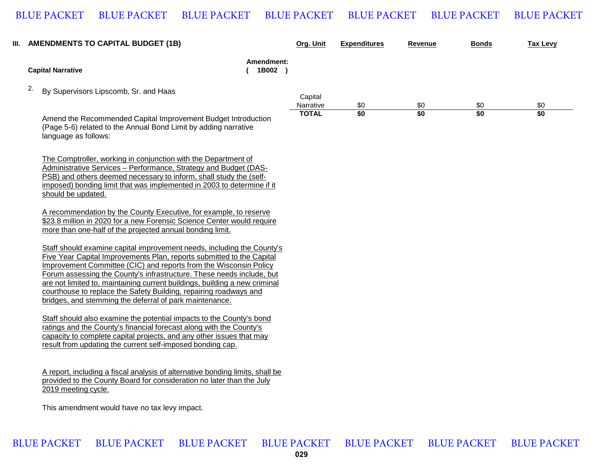| <b>BLUE PACKET</b>       | <b>BLUE PACKET</b>                                                                                                                                                                                                                                                                                                                                                                                                                                                                                          | <b>BLUE PACKET</b> |                       | <b>BLUE PACKET</b>        | <b>BLUE PACKET</b>  |                | <b>BLUE PACKET</b> | <b>BLUE PACKET</b> |
|--------------------------|-------------------------------------------------------------------------------------------------------------------------------------------------------------------------------------------------------------------------------------------------------------------------------------------------------------------------------------------------------------------------------------------------------------------------------------------------------------------------------------------------------------|--------------------|-----------------------|---------------------------|---------------------|----------------|--------------------|--------------------|
|                          | I. AMENDMENTS TO CAPITAL BUDGET (1B)                                                                                                                                                                                                                                                                                                                                                                                                                                                                        |                    |                       | Org. Unit                 | <b>Expenditures</b> | <u>Revenue</u> | <b>Bonds</b>       | <b>Tax Levy</b>    |
| <b>Capital Narrative</b> |                                                                                                                                                                                                                                                                                                                                                                                                                                                                                                             |                    | Amendment:<br>1B002 ) |                           |                     |                |                    |                    |
| 2.                       | By Supervisors Lipscomb, Sr. and Haas                                                                                                                                                                                                                                                                                                                                                                                                                                                                       |                    |                       | Capital<br>Narrative      | \$0                 | \$0            | \$0                | \$0                |
| language as follows:     | Amend the Recommended Capital Improvement Budget Introduction<br>(Page 5-6) related to the Annual Bond Limit by adding narrative                                                                                                                                                                                                                                                                                                                                                                            |                    |                       | <b>TOTAL</b>              | \$0                 | \$0            | $\overline{50}$    | \$0                |
| should be updated.       | The Comptroller, working in conjunction with the Department of<br>Administrative Services - Performance, Strategy and Budget (DAS-<br>PSB) and others deemed necessary to inform, shall study the (self-<br>imposed) bonding limit that was implemented in 2003 to determine if it                                                                                                                                                                                                                          |                    |                       |                           |                     |                |                    |                    |
|                          | A recommendation by the County Executive, for example, to reserve<br>\$23.8 million in 2020 for a new Forensic Science Center would require<br>more than one-half of the projected annual bonding limit.                                                                                                                                                                                                                                                                                                    |                    |                       |                           |                     |                |                    |                    |
|                          | Staff should examine capital improvement needs, including the County's<br>Five Year Capital Improvements Plan, reports submitted to the Capital<br>Improvement Committee (CIC) and reports from the Wisconsin Policy<br>Forum assessing the County's infrastructure. These needs include, but<br>are not limited to, maintaining current buildings, building a new criminal<br>courthouse to replace the Safety Building, repairing roadways and<br>bridges, and stemming the deferral of park maintenance. |                    |                       |                           |                     |                |                    |                    |
|                          | Staff should also examine the potential impacts to the County's bond<br>ratings and the County's financial forecast along with the County's<br>capacity to complete capital projects, and any other issues that may<br>result from updating the current self-imposed bonding cap.                                                                                                                                                                                                                           |                    |                       |                           |                     |                |                    |                    |
| 2019 meeting cycle.      | A report, including a fiscal analysis of alternative bonding limits, shall be<br>provided to the County Board for consideration no later than the July                                                                                                                                                                                                                                                                                                                                                      |                    |                       |                           |                     |                |                    |                    |
|                          | This amendment would have no tax levy impact.                                                                                                                                                                                                                                                                                                                                                                                                                                                               |                    |                       |                           |                     |                |                    |                    |
| <b>BLUE PACKET</b>       | <b>BLUE PACKET</b>                                                                                                                                                                                                                                                                                                                                                                                                                                                                                          | <b>BLUE PACKET</b> |                       | <b>BLUE PACKET</b><br>029 | <b>BLUE PACKET</b>  |                | <b>BLUE PACKET</b> | <b>BLUE PACKET</b> |

**III.**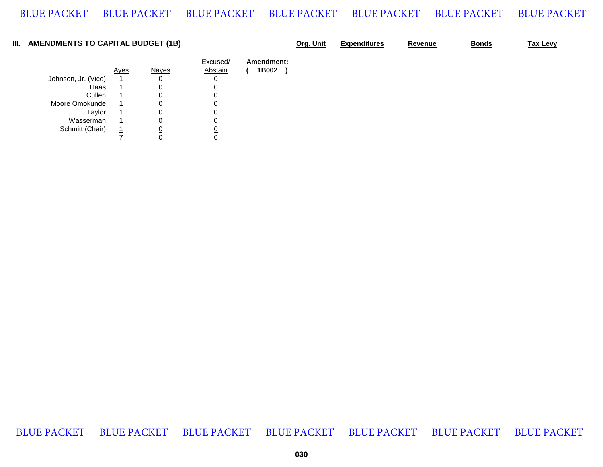## **III. AMENDMENTS TO CAPITAL BUDGET (1B) Org. Unit Expenditures Revenue Bonds Tax Levy**

| BLUE PACKET                                                                                       |                                                                                                                             |                                                                                                       | BLUE PACKET BLUE PACKET                                                                                    |                       | <b>BLUE PACKET</b> | <b>BLUE PACKET</b>  |         | <b>BLUE PACKET</b>                                                                  | <b>BLUE PACKET</b> |
|---------------------------------------------------------------------------------------------------|-----------------------------------------------------------------------------------------------------------------------------|-------------------------------------------------------------------------------------------------------|------------------------------------------------------------------------------------------------------------|-----------------------|--------------------|---------------------|---------|-------------------------------------------------------------------------------------|--------------------|
| <b>AMENDMENTS TO CAPITAL BUDGET (1B)</b>                                                          |                                                                                                                             |                                                                                                       |                                                                                                            |                       | Org. Unit          | <b>Expenditures</b> | Revenue | <b>Bonds</b>                                                                        | <b>Tax Levy</b>    |
| Johnson, Jr. (Vice)<br>Haas<br>Cullen<br>Moore Omokunde<br>Taylor<br>Wasserman<br>Schmitt (Chair) | <b>Ayes</b><br>$\mathbf{1}$<br>$\mathbf{1}$<br>$\mathbf{1}$<br>$\mathbf{1}$<br>$\mathbf{1}$<br>$\mathbf 1$<br>$\frac{1}{7}$ | <b>Nayes</b><br>$\mathbf 0$<br>$\pmb{0}$<br>0<br>$\pmb{0}$<br>$\pmb{0}$<br>$\pmb{0}$<br>$\frac{0}{0}$ | Excused/<br>Abstain<br>0<br>$\pmb{0}$<br>$\pmb{0}$<br>$\pmb{0}$<br>$\pmb{0}$<br>$\pmb{0}$<br>$\frac{0}{0}$ | Amendment:<br>(1B002) |                    |                     |         |                                                                                     |                    |
|                                                                                                   |                                                                                                                             |                                                                                                       |                                                                                                            |                       |                    |                     |         |                                                                                     |                    |
|                                                                                                   |                                                                                                                             |                                                                                                       |                                                                                                            |                       |                    |                     |         | BLUE PACKET BLUE PACKET BLUE PACKET BLUE PACKET BLUE PACKET BLUE PACKET BLUE PACKET |                    |
|                                                                                                   |                                                                                                                             |                                                                                                       |                                                                                                            |                       | 030                |                     |         |                                                                                     |                    |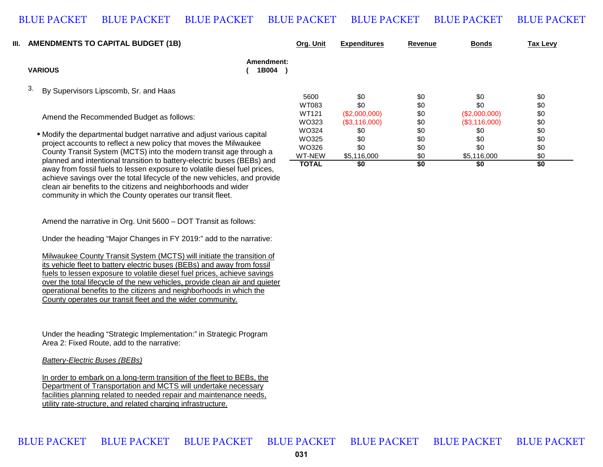# BLUE PACKET BLUE PACKET BLUE PACKET BLUE PACKET BLUE PACKET BLUE PACKET BLUE PACKET

| III. | <b>AMENDMENTS TO CAPITAL BUDGET (1B)</b>                                                                                                             |                     | Org. Unit    | <b>Expenditures</b> | <u>Revenue</u> | <b>Bonds</b>   | <b>Tax Levy</b> |  |
|------|------------------------------------------------------------------------------------------------------------------------------------------------------|---------------------|--------------|---------------------|----------------|----------------|-----------------|--|
|      | <b>VARIOUS</b>                                                                                                                                       | Amendment:<br>1B004 |              |                     |                |                |                 |  |
|      | 3.<br>By Supervisors Lipscomb, Sr. and Haas                                                                                                          |                     | 5600         | \$0                 | \$0            | \$0            | \$0             |  |
|      |                                                                                                                                                      |                     | WT083        | \$0                 | \$0            | \$0            | \$0             |  |
|      | Amend the Recommended Budget as follows:                                                                                                             |                     | WT121        | (S2,000,000)        | \$0            | (S2,000,000)   | \$0             |  |
|      |                                                                                                                                                      |                     | WO323        | (S3, 116, 000)      | \$0            | (S3, 116, 000) | \$0             |  |
|      |                                                                                                                                                      |                     | WO324        | \$0                 | \$0            | \$0            | \$0             |  |
|      | • Modify the departmental budget narrative and adjust various capital                                                                                |                     | WO325        | \$0                 | \$0            | \$0            | \$0             |  |
|      | project accounts to reflect a new policy that moves the Milwaukee                                                                                    |                     | WO326        | \$0                 | \$0            | \$0            | \$0             |  |
|      | County Transit System (MCTS) into the modern transit age through a                                                                                   |                     | WT-NEW       | \$5,116,000         | \$0            | \$5,116,000    | \$0             |  |
|      | planned and intentional transition to battery-electric buses (BEBs) and<br>away from fossil fuels to lessen exposure to volatile diesel fuel prices, |                     | <b>TOTAL</b> | \$0                 | \$0            | \$0            | \$0             |  |

Amend the narrative in Org. Unit 5600 – DOT Transit as follows:

clean air benefits to the citizens and neighborhoods and wider community in which the County operates our transit fleet.

Under the heading "Major Changes in FY 2019:" add to the narrative:

achieve savings over the total lifecycle of the new vehicles, and provide

Milwaukee County Transit System (MCTS) will initiate the transition of its vehicle fleet to battery electric buses (BEBs) and away from fossil fuels to lessen exposure to volatile diesel fuel prices, achieve savings over the total lifecycle of the new vehicles, provide clean air and quieter operational benefits to the citizens and neighborhoods in which the County operates our transit fleet and the wider community.

Under the heading "Strategic Implementation:" in Strategic Program Area 2: Fixed Route, add to the narrative:

## *Battery-Electric Buses (BEBs)*

In order to embark on a long-term transition of the fleet to BEBs, the Department of Transportation and MCTS will undertake necessary facilities planning related to needed repair and maintenance needs, utility rate-structure, and related charging infrastructure.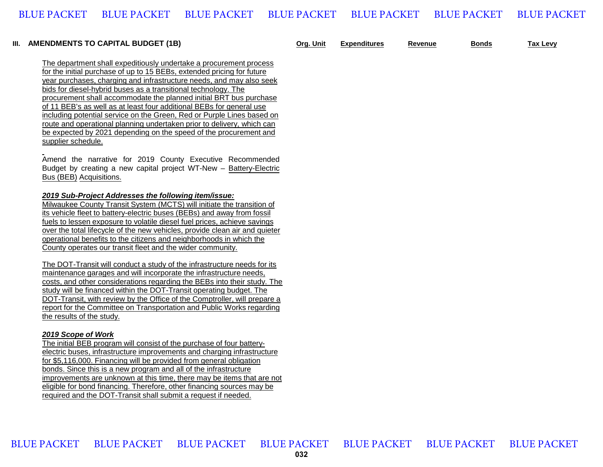**III.**

|                           |                                                                                                                                    |                                                                                                                                                                                                                                                                                                                                                                                                                                                                                                                                                                                             |                           | <b>BLUE PACKET</b>  | <b>BLUE PACKET</b>             | <b>BLUE PACKET</b> |
|---------------------------|------------------------------------------------------------------------------------------------------------------------------------|---------------------------------------------------------------------------------------------------------------------------------------------------------------------------------------------------------------------------------------------------------------------------------------------------------------------------------------------------------------------------------------------------------------------------------------------------------------------------------------------------------------------------------------------------------------------------------------------|---------------------------|---------------------|--------------------------------|--------------------|
|                           | . AMENDMENTS TO CAPITAL BUDGET (1B)                                                                                                |                                                                                                                                                                                                                                                                                                                                                                                                                                                                                                                                                                                             | Org. Unit                 | <b>Expenditures</b> | <b>Revenue</b><br><b>Bonds</b> | <b>Tax Levy</b>    |
| supplier schedule.        | bids for diesel-hybrid buses as a transitional technology. The                                                                     | The department shall expeditiously undertake a procurement process<br>for the initial purchase of up to 15 BEBs, extended pricing for future<br>year purchases, charging and infrastructure needs, and may also seek<br>procurement shall accommodate the planned initial BRT bus purchase<br>of 11 BEB's as well as at least four additional BEBs for general use<br>including potential service on the Green, Red or Purple Lines based on<br>route and operational planning undertaken prior to delivery, which can<br>be expected by 2021 depending on the speed of the procurement and |                           |                     |                                |                    |
| Bus (BEB) Acquisitions.   |                                                                                                                                    | Amend the narrative for 2019 County Executive Recommended<br>Budget by creating a new capital project WT-New - Battery-Electric                                                                                                                                                                                                                                                                                                                                                                                                                                                             |                           |                     |                                |                    |
|                           | 2019 Sub-Project Addresses the following item/issue:<br>County operates our transit fleet and the wider community.                 | Milwaukee County Transit System (MCTS) will initiate the transition of<br>its vehicle fleet to battery-electric buses (BEBs) and away from fossil<br>fuels to lessen exposure to volatile diesel fuel prices, achieve savings<br>over the total lifecycle of the new vehicles, provide clean air and quieter<br>operational benefits to the citizens and neighborhoods in which the                                                                                                                                                                                                         |                           |                     |                                |                    |
| the results of the study. |                                                                                                                                    | The DOT-Transit will conduct a study of the infrastructure needs for its<br>maintenance garages and will incorporate the infrastructure needs,<br>costs, and other considerations regarding the BEBs into their study. The<br>study will be financed within the DOT-Transit operating budget. The<br>DOT-Transit, with review by the Office of the Comptroller, will prepare a<br>report for the Committee on Transportation and Public Works regarding                                                                                                                                     |                           |                     |                                |                    |
| 2019 Scope of Work        | bonds. Since this is a new program and all of the infrastructure<br>required and the DOT-Transit shall submit a request if needed. | The initial BEB program will consist of the purchase of four battery-<br>electric buses, infrastructure improvements and charging infrastructure<br>for \$5,116,000. Financing will be provided from general obligation<br>improvements are unknown at this time, there may be items that are not<br>eligible for bond financing. Therefore, other financing sources may be                                                                                                                                                                                                                 |                           |                     |                                |                    |
| <b>LUE PACKET</b>         | <b>BLUE PACKET</b>                                                                                                                 | <b>BLUE PACKET</b>                                                                                                                                                                                                                                                                                                                                                                                                                                                                                                                                                                          | <b>BLUE PACKET</b><br>032 | <b>BLUE PACKET</b>  | <b>BLUE PACKET</b>             | <b>BLUE PACKET</b> |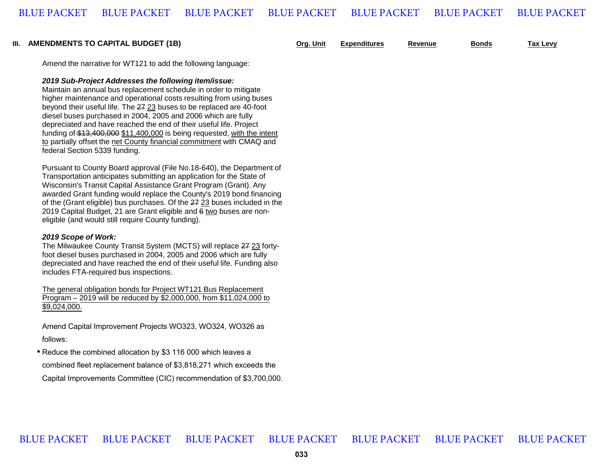| <b>BLUE PACKET</b>            | <b>BLUE PACKET</b>                                                                                                                                                                                                                                                                                                                                                                                                                                                                                                                                                  | <b>BLUE PACKET</b> | <b>BLUE PACKET</b> | <b>BLUE PACKET</b>  |         | <b>BLUE PACKET</b> | <b>BLUE PACKET</b> |
|-------------------------------|---------------------------------------------------------------------------------------------------------------------------------------------------------------------------------------------------------------------------------------------------------------------------------------------------------------------------------------------------------------------------------------------------------------------------------------------------------------------------------------------------------------------------------------------------------------------|--------------------|--------------------|---------------------|---------|--------------------|--------------------|
|                               | III. AMENDMENTS TO CAPITAL BUDGET (1B)                                                                                                                                                                                                                                                                                                                                                                                                                                                                                                                              |                    | Org. Unit          | <b>Expenditures</b> | Revenue | <b>Bonds</b>       | <b>Tax Levy</b>    |
|                               | Amend the narrative for WT121 to add the following language:                                                                                                                                                                                                                                                                                                                                                                                                                                                                                                        |                    |                    |                     |         |                    |                    |
| federal Section 5339 funding. | 2019 Sub-Project Addresses the following item/issue:<br>Maintain an annual bus replacement schedule in order to mitigate<br>higher maintenance and operational costs resulting from using buses<br>beyond their useful life. The 27 23 buses to be replaced are 40-foot<br>diesel buses purchased in 2004, 2005 and 2006 which are fully<br>depreciated and have reached the end of their useful life. Project<br>funding of \$13,400,000 \$11,400,000 is being requested, with the intent<br>to partially offset the net County financial commitment with CMAQ and |                    |                    |                     |         |                    |                    |
|                               | Pursuant to County Board approval (File No.18-640), the Department of<br>Transportation anticipates submitting an application for the State of<br>Wisconsin's Transit Capital Assistance Grant Program (Grant). Any<br>awarded Grant funding would replace the County's 2019 bond financing<br>of the (Grant eligible) bus purchases. Of the 27 23 buses included in the<br>2019 Capital Budget, 21 are Grant eligible and 6 two buses are non-<br>eligible (and would still require County funding).                                                               |                    |                    |                     |         |                    |                    |
| 2019 Scope of Work:           | The Milwaukee County Transit System (MCTS) will replace 27 23 forty-<br>foot diesel buses purchased in 2004, 2005 and 2006 which are fully<br>depreciated and have reached the end of their useful life. Funding also<br>includes FTA-required bus inspections.                                                                                                                                                                                                                                                                                                     |                    |                    |                     |         |                    |                    |
| \$9,024,000.                  | The general obligation bonds for Project WT121 Bus Replacement<br>Program - 2019 will be reduced by \$2,000,000, from \$11,024,000 to                                                                                                                                                                                                                                                                                                                                                                                                                               |                    |                    |                     |         |                    |                    |
|                               | Amend Capital Improvement Projects WO323, WO324, WO326 as                                                                                                                                                                                                                                                                                                                                                                                                                                                                                                           |                    |                    |                     |         |                    |                    |
| follows:                      |                                                                                                                                                                                                                                                                                                                                                                                                                                                                                                                                                                     |                    |                    |                     |         |                    |                    |
|                               | • Reduce the combined allocation by \$3 116 000 which leaves a                                                                                                                                                                                                                                                                                                                                                                                                                                                                                                      |                    |                    |                     |         |                    |                    |
|                               | combined fleet replacement balance of \$3,818,271 which exceeds the                                                                                                                                                                                                                                                                                                                                                                                                                                                                                                 |                    |                    |                     |         |                    |                    |
|                               | Capital Improvements Committee (CIC) recommendation of \$3,700,000.                                                                                                                                                                                                                                                                                                                                                                                                                                                                                                 |                    |                    |                     |         |                    |                    |
| <b>BLUE PACKET</b>            | <b>BLUE PACKET</b>                                                                                                                                                                                                                                                                                                                                                                                                                                                                                                                                                  | <b>BLUE PACKET</b> | <b>BLUE PACKET</b> | <b>BLUE PACKET</b>  |         | <b>BLUE PACKET</b> | <b>BLUE PACKET</b> |
|                               |                                                                                                                                                                                                                                                                                                                                                                                                                                                                                                                                                                     |                    | 033                |                     |         |                    |                    |

## *2019 Sub-Project Addresses the following item/issue:*

## *2019 Scope of Work:*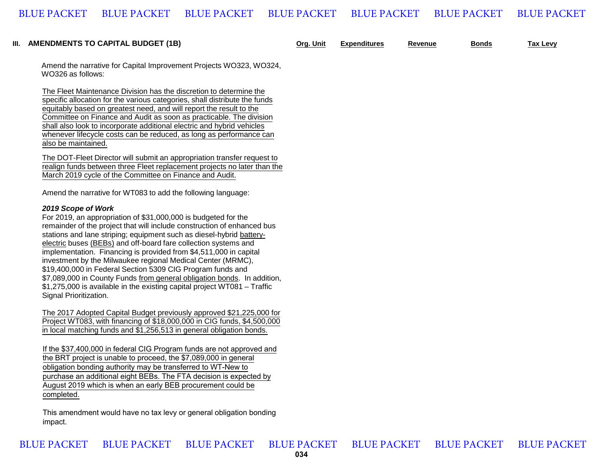|                                                                    | III. AMENDMENTS TO CAPITAL BUDGET (1B) |  | Expenditures | Revenue | <u>Bonds</u> | <u>Tax Levy</u> |
|--------------------------------------------------------------------|----------------------------------------|--|--------------|---------|--------------|-----------------|
| Amend the narrative for Capital Improvement Projects WO323, WO324, |                                        |  |              |         |              |                 |

The Fleet Maintenance Division has the discretion to determine the specific allocation for the various categories, shall distribute the funds equitably based on greatest need, and will report the result to the Committee on Finance and Audit as soon as practicable. The division shall also look to incorporate additional electric and hybrid vehicles whenever lifecycle costs can be reduced, as long as performance can also be maintained.

The DOT-Fleet Director will submit an appropriation transfer request to realign funds between three Fleet replacement projects no later than the March 2019 cycle of the Committee on Finance and Audit.

Amend the narrative for WT083 to add the following language:

## *2019 Scope of Work*

WO326 as follows:

For 2019, an appropriation of \$31,000,000 is budgeted for the remainder of the project that will include construction of enhanced bus stations and lane striping; equipment such as diesel-hybrid batteryelectric buses (BEBs) and off-board fare collection systems and implementation. Financing is provided from \$4,511,000 in capital investment by the Milwaukee regional Medical Center (MRMC), \$19,400,000 in Federal Section 5309 CIG Program funds and \$7,089,000 in County Funds from general obligation bonds. In addition, \$1,275,000 is available in the existing capital project WT081 – Traffic Signal Prioritization. BLUE PACKET BLUE PACKET BLUE PACKET BLUE PACKET BLUE PACKET BLUE PACKET BLUE PACKET BLUE PACKET BLUE PACKET BLUE PACKET BLUE PACKET BLUE PACKET BLUE PACKET BLUE PACKET BLUE PACKET BLUE PACKET BLUE PACKET BLUE PACKET BLUE

The 2017 Adopted Capital Budget previously approved \$21,225,000 for Project WT083, with financing of \$18,000,000 in CIG funds, \$4,500,000 in local matching funds and \$1,256,513 in general obligation bonds.

If the \$37,400,000 in federal CIG Program funds are not approved and the BRT project is unable to proceed, the \$7,089,000 in general obligation bonding authority may be transferred to WT-New to purchase an additional eight BEBs. The FTA decision is expected by August 2019 which is when an early BEB procurement could be completed.

This amendment would have no tax levy or general obligation bonding impact.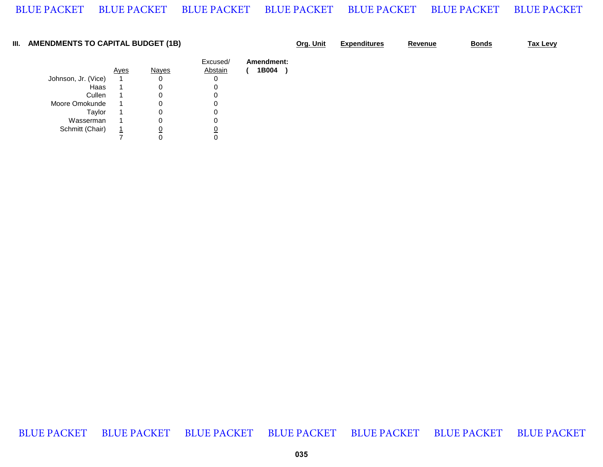## **III. AMENDMENTS TO CAPITAL BUDGET (1B) Org. Unit Expenditures Revenue Bonds Tax Levy**

| BLUE PACKET                                                                                       |                                                                                                                                |                                                                                             |                                                                                                            |                       |                    |                     |         | BLUE PACKET BLUE PACKET BLUE PACKET BLUE PACKET BLUE PACKET | <b>BLUE PACKET</b> |
|---------------------------------------------------------------------------------------------------|--------------------------------------------------------------------------------------------------------------------------------|---------------------------------------------------------------------------------------------|------------------------------------------------------------------------------------------------------------|-----------------------|--------------------|---------------------|---------|-------------------------------------------------------------|--------------------|
| I. AMENDMENTS TO CAPITAL BUDGET (1B)                                                              |                                                                                                                                |                                                                                             |                                                                                                            |                       | Org. Unit          | <b>Expenditures</b> | Revenue | <b>Bonds</b>                                                | <b>Tax Levy</b>    |
| Johnson, Jr. (Vice)<br>Haas<br>Cullen<br>Moore Omokunde<br>Taylor<br>Wasserman<br>Schmitt (Chair) | <b>Ayes</b><br>$\overline{1}$<br>$\mathbf{1}$<br>$\mathbf{1}$<br>$\mathbf{1}$<br>$\mathbf{1}$<br>$\mathbf{1}$<br>$\frac{1}{7}$ | <b>Nayes</b><br>0<br>$\pmb{0}$<br>$\pmb{0}$<br>0<br>${\bf 0}$<br>$\pmb{0}$<br>$\frac{0}{0}$ | Excused/<br>Abstain<br>0<br>$\pmb{0}$<br>$\pmb{0}$<br>$\pmb{0}$<br>$\pmb{0}$<br>$\pmb{0}$<br>$\frac{0}{0}$ | Amendment:<br>(1B004) |                    |                     |         |                                                             |                    |
| <b>BLUE PACKET</b>                                                                                |                                                                                                                                | <b>BLUE PACKET</b>                                                                          | <b>BLUE PACKET</b>                                                                                         |                       | <b>BLUE PACKET</b> | <b>BLUE PACKET</b>  |         | <b>BLUE PACKET</b>                                          | <b>BLUE PACKET</b> |
|                                                                                                   |                                                                                                                                |                                                                                             |                                                                                                            |                       | 035                |                     |         |                                                             |                    |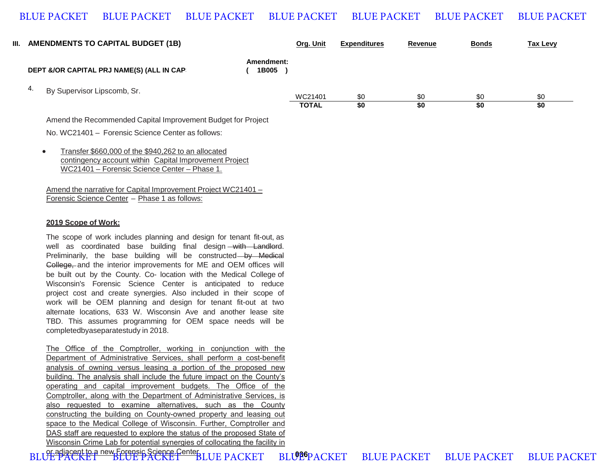# BLUE PACKET BLUE PACKET BLUE PACKET BLUE PACKET BLUE PACKET BLUE PACKET BLUE PACKET

| ₩. | <b>AMENDMENTS TO CAPITAL BUDGET (1B)</b>  |                     |                         | <b>Expenditures</b> | Revenue    | <b>Bonds</b> | <u>Tax Levy</u> |
|----|-------------------------------------------|---------------------|-------------------------|---------------------|------------|--------------|-----------------|
|    | DEPT &/OR CAPITAL PRJ NAME(S) (ALL IN CAP | Amendment:<br>1B005 |                         |                     |            |              |                 |
|    | 4.<br>By Supervisor Lipscomb, Sr.         |                     | WC21401<br><b>TOTAL</b> | \$0<br>\$0          | \$0<br>\$0 | \$0<br>\$0   | \$0<br>\$0      |

Amend the Recommended Capital Improvement Budget for Project

No. WC21401 – Forensic Science Center as follows:

0 Transfer \$660,000 of the \$940,262 to an allocated contingency account within Capital Improvement Project WC21401 – Forensic Science Center – Phase 1.

Amend the narrative for Capital Improvement Project WC21401 – Forensic Science Center – Phase <sup>1</sup> as follows:

## **2019 Scope of Work:**

The scope of work includes planning and design for tenant fit-out, as well as coordinated base building final design—<del>with Landlord</del>.<br>-Preliminarily, the base building will be constructed—b<del>y Medical</del> College, and the interior improvements for ME and OEM offices will<br>be huilt aut by the County Co. Jesstien with the Medical College of be built out by the County. Co- location with the Medical College of Wisconsin's Forensic Science Center is anticipated to reduce project cost and create synergies. Also included in their scope of work will be OEM planning and design for tenant fit-out at two<br>olternate loostions, 622 W. Wiesensin, Ave and another loose site alternate locations, <sup>633</sup> W. Wisconsin Ave and another lease site TBD. This assumes programming for OEM space needs will be completedbyaseparatestudy in 2018.

The Office of the Comptroller, working in conjunction with the Department of Administrative Services, shall perform a cost-benefit analysis of owning versus leasing a portion of the proposed new building. The analysis shall include the future impact on the County's operating and capital improvement budgets. The Office of the Comptroller, along with the Department of Administrative Services, is also requested to examine alternatives, such as the County constructing the building on County-owned property and leasing out space to the Medical College of Wisconsin. Further, Comptroller and DAS staff are requested to explore the status of the proposed State of Wisconsin Crime Lab for potential synergies of collocating the facility in we as columized base bunding mind cessign and center. The predical<br>Preliminarily, the base building will be constructed—by Medical<br>Cellege, and the interior improvements for ME and OEM offices will<br>be built out by the Coun

BLUE PACKET DE BLUE PACKET BLUE PACKET BLUE PACKET BLUE PACKET BLUE PACKET BLUE PACKET BLUE PACKET

**BLU®<sup>6</sup>PACKET</sub>**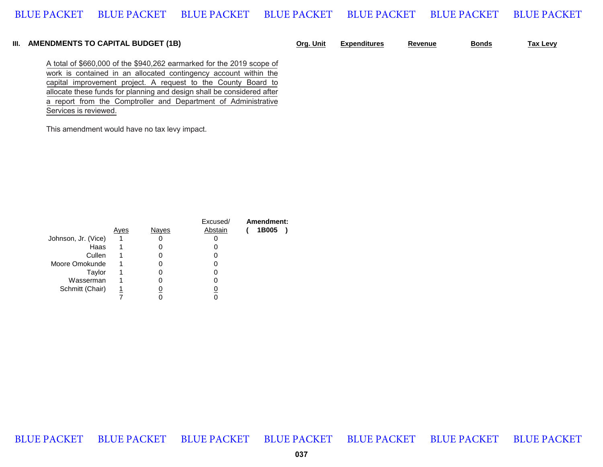| BLUE PACKET BLUE PACKET BLUE PACKET                                                                                                                                                                                                                                                                                                                                                                                              |                                                                           | <b>BLUE PACKET</b>        | <b>BLUE PACKET</b>             | <b>BLUE PACKET</b> | <b>BLUE PACKET</b> |
|----------------------------------------------------------------------------------------------------------------------------------------------------------------------------------------------------------------------------------------------------------------------------------------------------------------------------------------------------------------------------------------------------------------------------------|---------------------------------------------------------------------------|---------------------------|--------------------------------|--------------------|--------------------|
| III. AMENDMENTS TO CAPITAL BUDGET (1B)                                                                                                                                                                                                                                                                                                                                                                                           |                                                                           | Org. Unit                 | <b>Expenditures</b><br>Revenue | <b>Bonds</b>       | <b>Tax Levy</b>    |
| A total of \$660,000 of the \$940,262 earmarked for the 2019 scope of<br>work is contained in an allocated contingency account within the<br>capital improvement project. A request to the County Board to<br>allocate these funds for planning and design shall be considered after<br>a report from the Comptroller and Department of Administrative<br>Services is reviewed.<br>This amendment would have no tax levy impact. |                                                                           |                           |                                |                    |                    |
|                                                                                                                                                                                                                                                                                                                                                                                                                                  |                                                                           |                           |                                |                    |                    |
| <b>Nayes</b><br><u>Ayes</u><br>$\mathbf{1}$<br>Johnson, Jr. (Vice)<br>0<br>$\pmb{0}$<br>Haas<br>1<br>Cullen<br>0<br>Moore Omokunde<br>$\pmb{0}$<br>$\mathbf{1}$<br>$\pmb{0}$<br>Taylor<br>$\mathbf{1}$<br>$\mathbf 0$<br>Wasserman<br>$\mathbf{1}$<br>$\frac{0}{0}$<br>Schmitt (Chair)<br>$\frac{1}{7}$                                                                                                                          | Excused/<br><b>Abstain</b><br>0<br>0<br>0<br>0<br>0<br>0<br>$\frac{0}{0}$ | Amendment:<br>(1B005)     |                                |                    |                    |
| <b>BLUE PACKET</b><br><b>BLUE PACKET</b>                                                                                                                                                                                                                                                                                                                                                                                         | <b>BLUE PACKET</b>                                                        | <b>BLUE PACKET</b><br>037 | <b>BLUE PACKET</b>             | <b>BLUE PACKET</b> | <b>BLUE PACKET</b> |

|                     |             |       | Excused/ | Amendment: |  |
|---------------------|-------------|-------|----------|------------|--|
|                     | <u>Ayes</u> | Nayes | Abstain  | 1B005      |  |
| Johnson, Jr. (Vice) |             |       |          |            |  |
| Haas                |             |       |          |            |  |
| Cullen              |             |       |          |            |  |
| Moore Omokunde      |             |       |          |            |  |
| Taylor              |             |       |          |            |  |
| Wasserman           |             |       |          |            |  |
| Schmitt (Chair)     |             |       |          |            |  |
|                     |             |       |          |            |  |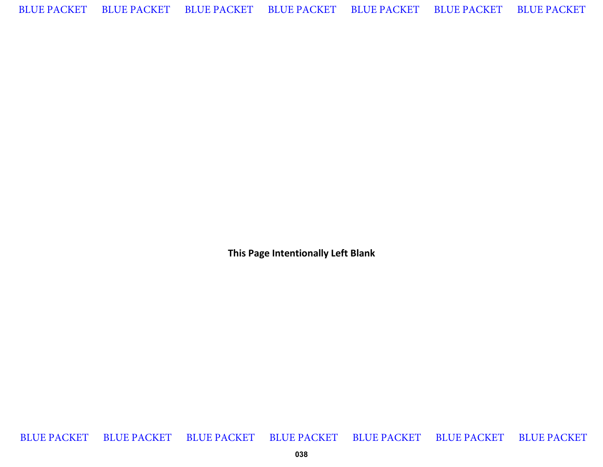BLUE PACKET BLUE PACKET BLUE PACKET BLUE PACKET BLUE PACKET BLUE PACKET BLUE PACKET

**This Page Intentionally Left Blank**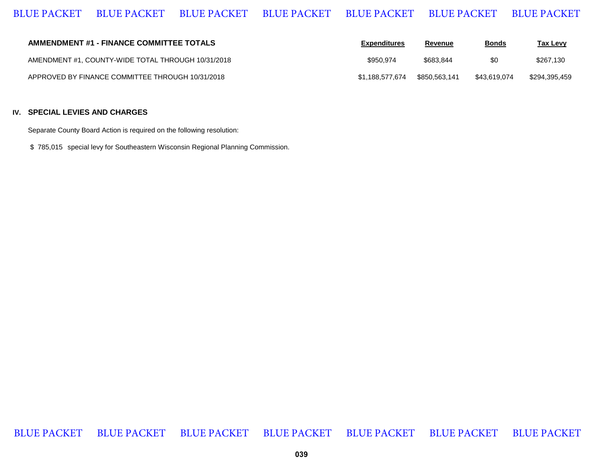| <b>BLUE PACKET</b>             | <b>BLUE PACKET</b>                                                    | <b>BLUE PACKET</b>                                                                  | <b>BLUE PACKET</b> | <b>BLUE PACKET</b>  | <b>BLUE PACKET</b> |              | <b>BLUE PACKET</b> |
|--------------------------------|-----------------------------------------------------------------------|-------------------------------------------------------------------------------------|--------------------|---------------------|--------------------|--------------|--------------------|
|                                | AMMENDMENT #1 - FINANCE COMMITTEE TOTALS                              |                                                                                     |                    | <b>Expenditures</b> | Revenue            | <b>Bonds</b> | <b>Tax Levy</b>    |
|                                | AMENDMENT #1, COUNTY-WIDE TOTAL THROUGH 10/31/2018                    |                                                                                     |                    | \$950,974           | \$683,844          | \$0          | \$267,130          |
|                                | APPROVED BY FINANCE COMMITTEE THROUGH 10/31/2018                      |                                                                                     |                    | \$1,188,577,674     | \$850,563,141      | \$43,619,074 | \$294,395,459      |
| IV. SPECIAL LEVIES AND CHARGES |                                                                       |                                                                                     |                    |                     |                    |              |                    |
|                                | Separate County Board Action is required on the following resolution: |                                                                                     |                    |                     |                    |              |                    |
|                                |                                                                       | \$785,015 special levy for Southeastern Wisconsin Regional Planning Commission.     |                    |                     |                    |              |                    |
|                                |                                                                       |                                                                                     |                    |                     |                    |              |                    |
|                                |                                                                       |                                                                                     |                    |                     |                    |              |                    |
|                                |                                                                       |                                                                                     |                    |                     |                    |              |                    |
|                                |                                                                       |                                                                                     |                    |                     |                    |              |                    |
|                                |                                                                       |                                                                                     |                    |                     |                    |              |                    |
|                                |                                                                       |                                                                                     |                    |                     |                    |              |                    |
|                                |                                                                       |                                                                                     |                    |                     |                    |              |                    |
|                                |                                                                       |                                                                                     |                    |                     |                    |              |                    |
|                                |                                                                       |                                                                                     |                    |                     |                    |              |                    |
|                                |                                                                       |                                                                                     |                    |                     |                    |              |                    |
|                                |                                                                       |                                                                                     |                    |                     |                    |              |                    |
|                                |                                                                       |                                                                                     |                    |                     |                    |              |                    |
|                                |                                                                       |                                                                                     |                    |                     |                    |              |                    |
|                                |                                                                       |                                                                                     |                    |                     |                    |              |                    |
|                                |                                                                       | BLUE PACKET BLUE PACKET BLUE PACKET BLUE PACKET BLUE PACKET BLUE PACKET BLUE PACKET |                    |                     |                    |              |                    |
|                                |                                                                       |                                                                                     | 039                |                     |                    |              |                    |

## **IV. SPECIAL LEVIES AND CHARGES**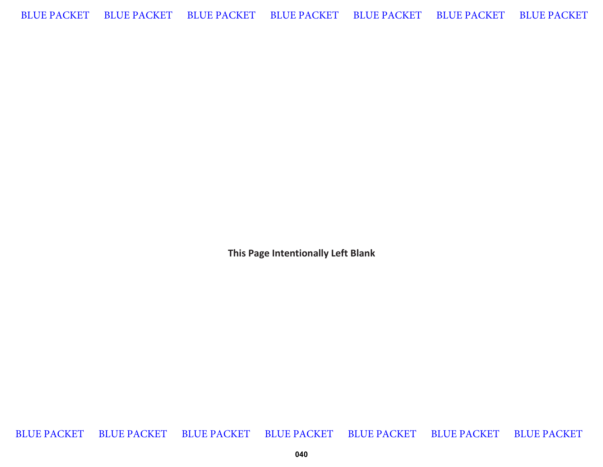**This Page Intentionally Left Blank** 

BLUE PACKET BLUE PACKET BLUE PACKET BLUE PACKET BLUE PACKET BLUE PACKET BLUE PACKET<br>THIS Page internationally left Blue Packet<br>LUE PACKET BLUE PACKET BLUE PACKET BLUE PACKET BLUE PACKET BLUE PACKET<br>- 000 BLUE PACKET BLUE PACKET BLUE PACKET BLUE PACKET BLUE PACKET BLUE PACKET BLUE PACKET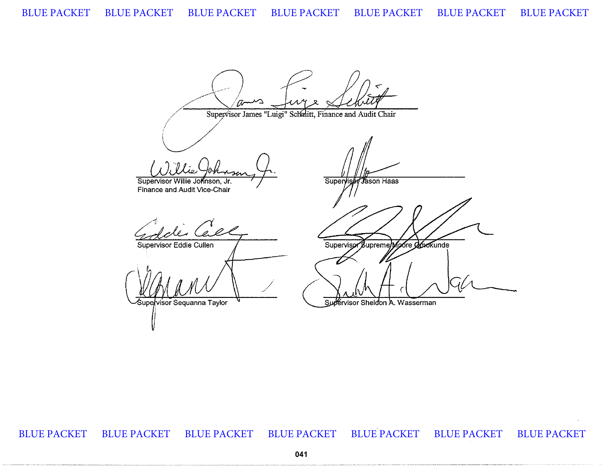BLUE PACKET BLUE PACKET BLUE PACKET BLUE PACKET BLUE PACKET<br>
SUCH PACKET BLUE PACKET<br>
SUCH PACKET BLUE PACKET<br>
SUCH PACKET BLUE PACKET BLUE PACKET BLUE PACKET<br>
SUCH PACKET BLUE PACKET BLUE PACKET BLUE PACKET BLUE PACKET<br>
B